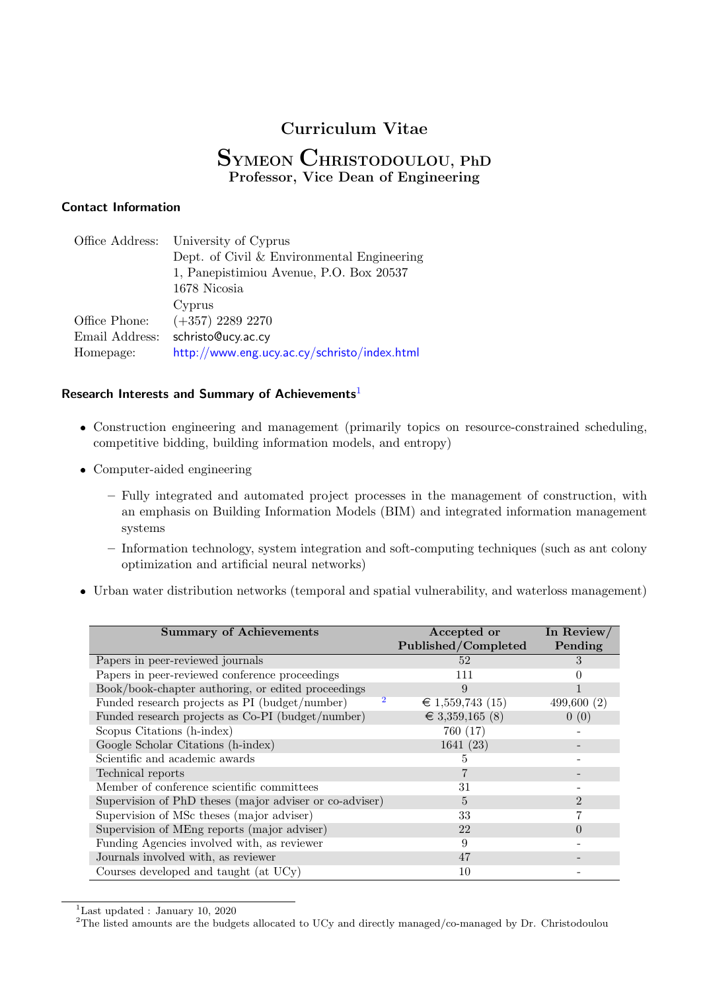### **Curriculum Vitae**

### **SYMEON CHRISTODOULOU, PhD Professor, Vice Dean of Engineering**

### **Contact Information**

| Office Address: | University of Cyprus                         |
|-----------------|----------------------------------------------|
|                 | Dept. of Civil & Environmental Engineering   |
|                 | 1, Panepistimiou Avenue, P.O. Box 20537      |
|                 | 1678 Nicosia                                 |
|                 | Cyprus                                       |
| Office Phone:   | $(+357)$ 2289 2270                           |
| Email Address:  | schristo@ucy.ac.cy                           |
| Homepage:       | http://www.eng.ucy.ac.cy/schristo/index.html |

#### **Research Interests and Summary of Achievements**<sup>1</sup>

- Construction engineering and management (primarily topics on resource-constrained scheduling, competitive bidding, building information mo[de](#page-0-0)ls, and entropy)
- Computer-aided engineering
	- **–** Fully integrated and automated project processes in the management of construction, with an emphasis on Building Information Models (BIM) and integrated information management systems
	- **–** Information technology, system integration and soft-computing techniques (such as ant colony optimization and artificial neural networks)
- Urban water distribution networks (temporal and spatial vulnerability, and waterloss management)

| <b>Summary of Achievements</b>                          | Accepted or         | In Review/ |
|---------------------------------------------------------|---------------------|------------|
|                                                         | Published/Completed | Pending    |
| Papers in peer-reviewed journals                        | 52                  | 3          |
| Papers in peer-reviewed conference proceedings          | 111                 |            |
| Book/book-chapter authoring, or edited proceedings      | 9                   |            |
| Funded research projects as PI (budget/number)          | € 1,559,743 (15)    | 499,600(2) |
| Funded research projects as Co-PI (budget/number)       | € 3,359,165 (8)     | 0(0)       |
| Scopus Citations (h-index)                              | 760 (17)            |            |
| Google Scholar Citations (h-index)                      | 1641(23)            |            |
| Scientific and academic awards                          | 5                   |            |
| Technical reports                                       |                     |            |
| Member of conference scientific committees              | 31                  |            |
| Supervision of PhD theses (major adviser or co-adviser) | 5                   | 2          |
| Supervision of MSc theses (major adviser)               | 33                  |            |
| Supervision of MEng reports (major adviser)             | 22                  |            |
| Funding Agencies involved with, as reviewer             | 9                   |            |
| Journals involved with, as reviewer                     | 47                  |            |
| Courses developed and taught (at UCy)                   | 10                  |            |

 $^1$  Last updated : January 10,  $\overline{2020}$ 

<span id="page-0-0"></span><sup>&</sup>lt;sup>2</sup>The listed amounts are the budgets allocated to UCy and directly managed/co-managed by Dr. Christodoulou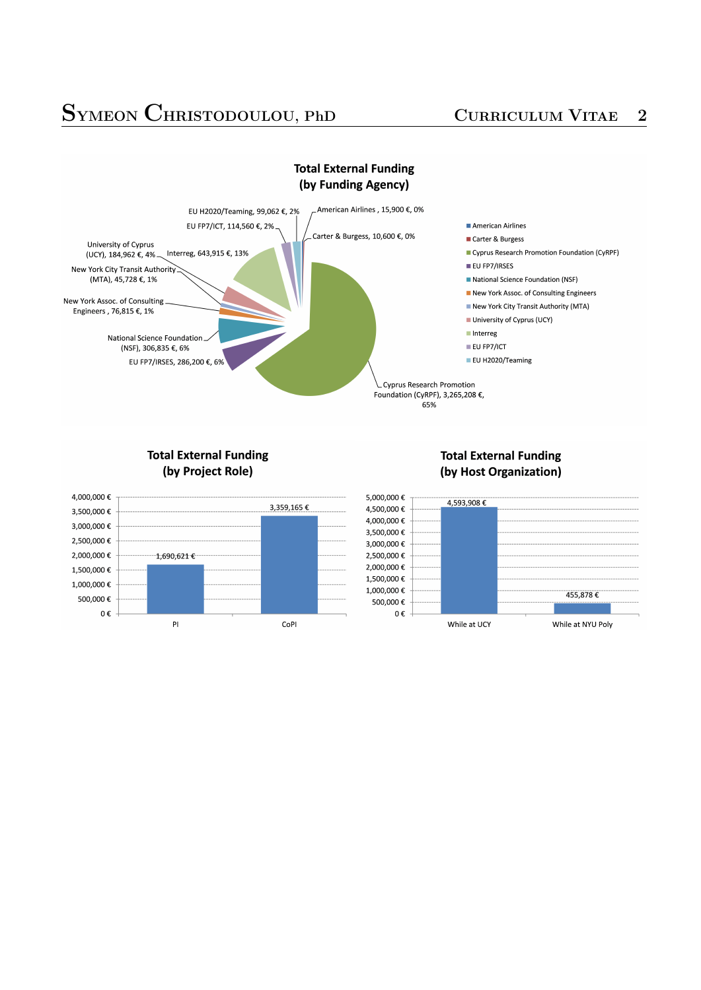# **SYMEON CHRISTODOULOU, PhD <sup>C</sup>URRICULUM <sup>V</sup>ITAE <sup>2</sup>**





### **Total External Funding** (by Project Role)



### **Total External Funding** (by Host Organization)

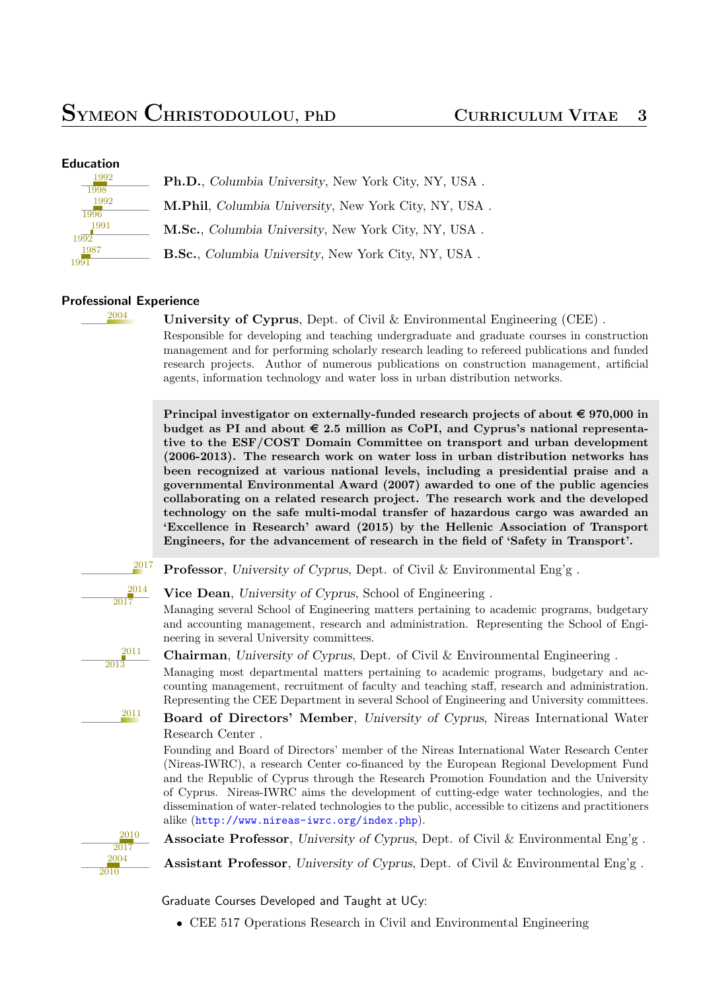| Ph.D., Columbia University, New York City, NY, USA.                                         |
|---------------------------------------------------------------------------------------------|
| M.Phil, Columbia University, New York City, NY, USA.                                        |
| M.Sc., Columbia University, New York City, NY, USA.                                         |
| <b>B.Sc.</b> , <i>Columbia University</i> , <i>New York City</i> , <i>NY</i> , <i>USA</i> . |
|                                                                                             |

### **Professional Experience**

<sup>2004</sup> **University of Cyprus**, Dept. of Civil & Environmental Engineering (CEE) .

Responsible for developing and teaching undergraduate and graduate courses in construction management and for performing scholarly research leading to refereed publications and funded research projects. Author of numerous publications on construction management, artificial agents, information technology and water loss in urban distribution networks.

**Principal investigator on externally-funded research projects of about**  $\epsilon$  **970,000 in** budget as PI and about  $\epsilon$  2.5 million as CoPI, and Cyprus's national representa**tive to the ESF/COST Domain Committee on transport and urban development (2006-2013). The research work on water loss in urban distribution networks has been recognized at various national levels, including a presidential praise and a governmental Environmental Award (2007) awarded to one of the public agencies collaborating on a related research project. The research work and the developed technology on the safe multi-modal transfer of hazardous cargo was awarded an 'Excellence in Research' award (2015) by the Hellenic Association of Transport Engineers, for the advancement of research in the field of 'Safety in Transport'.**

<sup>2017</sup> **Professor**, *University of Cyprus*, Dept. of Civil & Environmental Eng'g.

**Vice Dean**, *University of Cyprus*, School of Engineering .

Managing several School of Engineering matters pertaining to academic programs, budgetary and accounting management, research and administration. Representing the School of Engineering in several University committees.

2011 2013

2014  $\overline{2017}$ 

**Chairman**, *University of Cyprus*, Dept. of Civil & Environmental Engineering .

Managing most departmental matters pertaining to academic programs, budgetary and accounting management, recruitment of faculty and teaching staff, research and administration. Representing the CEE Department in several School of Engineering and University committees.

<sup>2011</sup> **Board of Directors' Member**, *University of Cyprus*, Nireas International Water Research Center .

Founding and Board of Directors' member of the Nireas International Water Research Center (Nireas-IWRC), a research Center co-financed by the European Regional Development Fund and the Republic of Cyprus through the Research Promotion Foundation and the University of Cyprus. Nireas-IWRC aims the development of cutting-edge water technologies, and the dissemination of water-related technologies to the public, accessible to citizens and practitioners alike (http://www.nireas-iwrc.org/index.php).

**Associate Professor**, *University of Cyprus*, Dept. of Civil & Environmental Eng'g .

**Assistant Professor**, *University of Cyprus*, Dept. of Civil & Environmental Eng'g .

Graduate Courses Developed and Taught at UCy:

CEE 517 Operations Research in Civil and Environmental Engineering

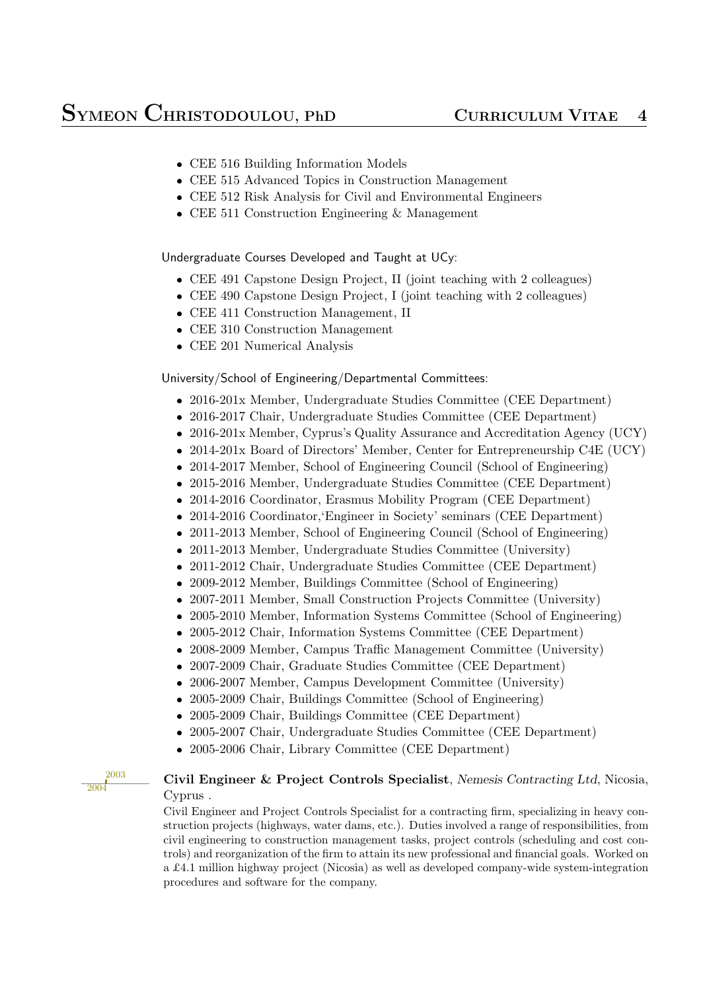- CEE 516 Building Information Models
- CEE 515 Advanced Topics in Construction Management
- CEE 512 Risk Analysis for Civil and Environmental Engineers
- CEE 511 Construction Engineering & Management

Undergraduate Courses Developed and Taught at UCy:

- CEE 491 Capstone Design Project, II (joint teaching with 2 colleagues)
- CEE 490 Capstone Design Project, I (joint teaching with 2 colleagues)
- CEE 411 Construction Management, II
- CEE 310 Construction Management
- CEE 201 Numerical Analysis

### University/School of Engineering/Departmental Committees:

- 2016-201x Member, Undergraduate Studies Committee (CEE Department)
- 2016-2017 Chair, Undergraduate Studies Committee (CEE Department)
- 2016-201x Member, Cyprus's Quality Assurance and Accreditation Agency (UCY)
- 2014-201x Board of Directors' Member, Center for Entrepreneurship C4E (UCY)
- 2014-2017 Member, School of Engineering Council (School of Engineering)
- 2015-2016 Member, Undergraduate Studies Committee (CEE Department)
- 2014-2016 Coordinator, Erasmus Mobility Program (CEE Department)
- 2014-2016 Coordinator,'Engineer in Society' seminars (CEE Department)
- 2011-2013 Member, School of Engineering Council (School of Engineering)
- 2011-2013 Member, Undergraduate Studies Committee (University)
- 2011-2012 Chair, Undergraduate Studies Committee (CEE Department)
- 2009-2012 Member, Buildings Committee (School of Engineering)
- 2007-2011 Member, Small Construction Projects Committee (University)
- 2005-2010 Member, Information Systems Committee (School of Engineering)
- 2005-2012 Chair, Information Systems Committee (CEE Department)
- 2008-2009 Member, Campus Traffic Management Committee (University)
- 2007-2009 Chair, Graduate Studies Committee (CEE Department)
- 2006-2007 Member, Campus Development Committee (University)
- 2005-2009 Chair, Buildings Committee (School of Engineering)
- 2005-2009 Chair, Buildings Committee (CEE Department)
- 2005-2007 Chair, Undergraduate Studies Committee (CEE Department)
- 2005-2006 Chair, Library Committee (CEE Department)

2003 2004

### **Civil Engineer & Project Controls Specialist**, *Nemesis Contracting Ltd*, Nicosia, Cyprus .

Civil Engineer and Project Controls Specialist for a contracting firm, specializing in heavy construction projects (highways, water dams, etc.). Duties involved a range of responsibilities, from civil engineering to construction management tasks, project controls (scheduling and cost controls) and reorganization of the firm to attain its new professional and financial goals. Worked on a £4.1 million highway project (Nicosia) as well as developed company-wide system-integration procedures and software for the company.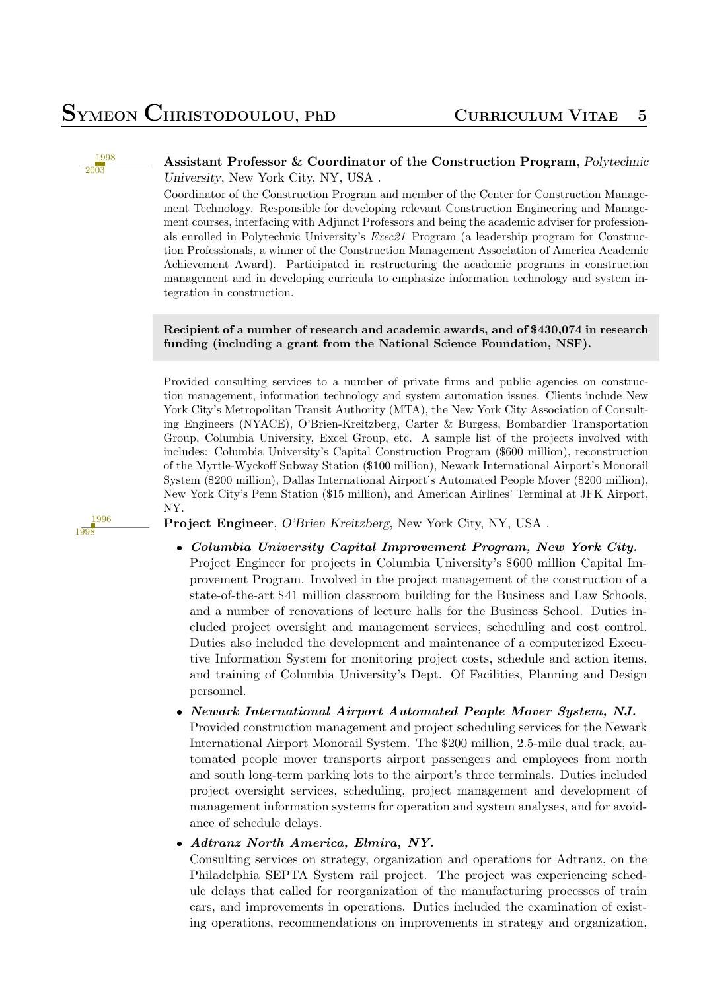1996 1998

#### **Assistant Professor & Coordinator of the Construction Program**, *Polytechnic University*, New York City, NY, USA .

Coordinator of the Construction Program and member of the Center for Construction Management Technology. Responsible for developing relevant Construction Engineering and Management courses, interfacing with Adjunct Professors and being the academic adviser for professionals enrolled in Polytechnic University's *Exec21* Program (a leadership program for Construction Professionals, a winner of the Construction Management Association of America Academic Achievement Award). Participated in restructuring the academic programs in construction management and in developing curricula to emphasize information technology and system integration in construction.

#### **Recipient of a number of research and academic awards, and of** \$**430,074 in research funding (including a grant from the National Science Foundation, NSF).**

Provided consulting services to a number of private firms and public agencies on construction management, information technology and system automation issues. Clients include New York City's Metropolitan Transit Authority (MTA), the New York City Association of Consulting Engineers (NYACE), O'Brien-Kreitzberg, Carter & Burgess, Bombardier Transportation Group, Columbia University, Excel Group, etc. A sample list of the projects involved with includes: Columbia University's Capital Construction Program (\$600 million), reconstruction of the Myrtle-Wyckoff Subway Station (\$100 million), Newark International Airport's Monorail System (\$200 million), Dallas International Airport's Automated People Mover (\$200 million), New York City's Penn Station (\$15 million), and American Airlines' Terminal at JFK Airport, NY.

**Project Engineer**, *O'Brien Kreitzberg*, New York City, NY, USA .

 *Columbia University Capital Improvement Program, New York City.* Project Engineer for projects in Columbia University's \$600 million Capital Improvement Program. Involved in the project management of the construction of a state-of-the-art \$41 million classroom building for the Business and Law Schools, and a number of renovations of lecture halls for the Business School. Duties included project oversight and management services, scheduling and cost control. Duties also included the development and maintenance of a computerized Executive Information System for monitoring project costs, schedule and action items, and training of Columbia University's Dept. Of Facilities, Planning and Design personnel.

*Newark International Airport Automated People Mover System, NJ.*

Provided construction management and project scheduling services for the Newark International Airport Monorail System. The \$200 million, 2.5-mile dual track, automated people mover transports airport passengers and employees from north and south long-term parking lots to the airport's three terminals. Duties included project oversight services, scheduling, project management and development of management information systems for operation and system analyses, and for avoidance of schedule delays.

#### *Adtranz North America, Elmira, NY.*

Consulting services on strategy, organization and operations for Adtranz, on the Philadelphia SEPTA System rail project. The project was experiencing schedule delays that called for reorganization of the manufacturing processes of train cars, and improvements in operations. Duties included the examination of existing operations, recommendations on improvements in strategy and organization,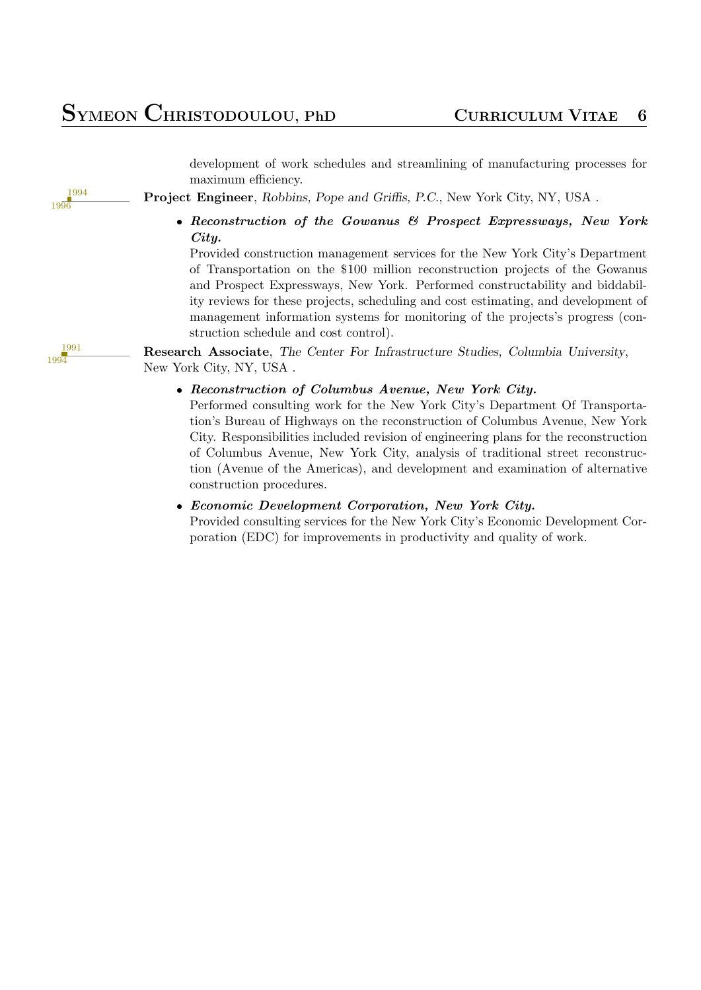### **SYMEON CHRISTODOULOU, PhD <sup>C</sup>URRICULUM <sup>V</sup>ITAE <sup>6</sup>**

development of work schedules and streamlining of manufacturing processes for maximum efficiency.

**Project Engineer**, *Robbins, Pope and Griffis, P.C.*, New York City, NY, USA .

 *Reconstruction of the Gowanus & Prospect Expressways, New York City.*

Provided construction management services for the New York City's Department of Transportation on the \$100 million reconstruction projects of the Gowanus and Prospect Expressways, New York. Performed constructability and biddability reviews for these projects, scheduling and cost estimating, and development of management information systems for monitoring of the projects's progress (construction schedule and cost control).

**Research Associate**, *The Center For Infrastructure Studies, Columbia University*, New York City, NY, USA .

*Reconstruction of Columbus Avenue, New York City.*

Performed consulting work for the New York City's Department Of Transportation's Bureau of Highways on the reconstruction of Columbus Avenue, New York City. Responsibilities included revision of engineering plans for the reconstruction of Columbus Avenue, New York City, analysis of traditional street reconstruction (Avenue of the Americas), and development and examination of alternative construction procedures.

 *Economic Development Corporation, New York City.* Provided consulting services for the New York City's Economic Development Corporation (EDC) for improvements in productivity and quality of work.

1991 1994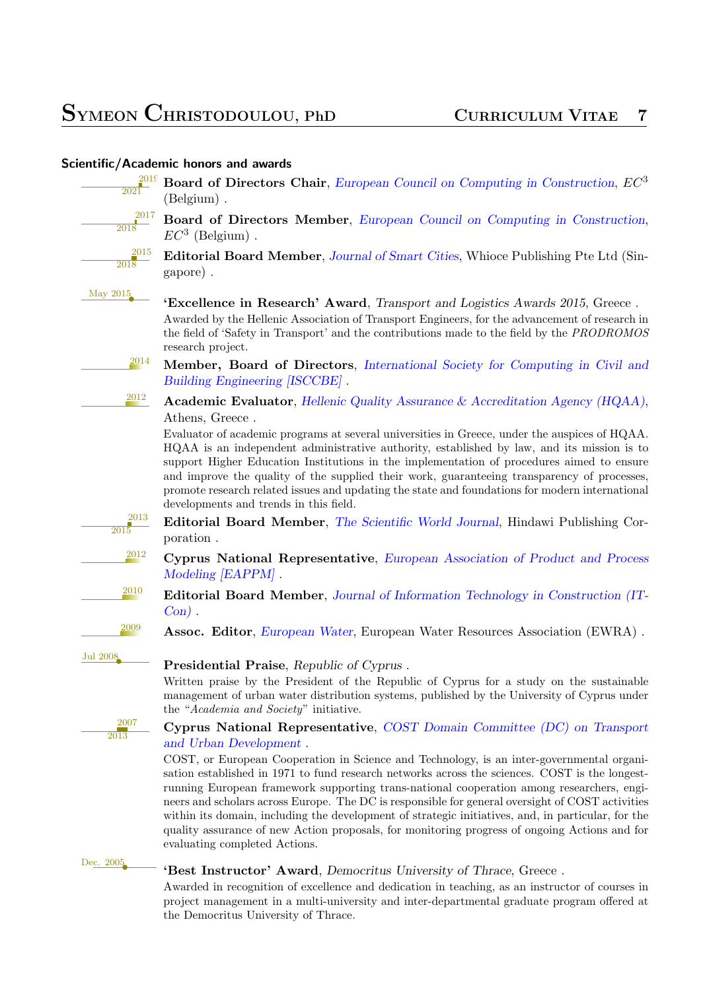| $\frac{201}{1}$                                          | Board of Directors Chair, European Council on Computing in Construction, EC <sup>3</sup><br>(Belgium).                                                                                                                                                                                                                                                                                                                                                                                                                                                                                                                               |
|----------------------------------------------------------|--------------------------------------------------------------------------------------------------------------------------------------------------------------------------------------------------------------------------------------------------------------------------------------------------------------------------------------------------------------------------------------------------------------------------------------------------------------------------------------------------------------------------------------------------------------------------------------------------------------------------------------|
| $\frac{2017}{2018}$                                      | Board of Directors Member, European Council on Computing in Construction,<br>$EC^3$ (Belgium).                                                                                                                                                                                                                                                                                                                                                                                                                                                                                                                                       |
| $\frac{2015}{2018}$                                      | <b>Editorial Board Member, Journal of Smart Cities, Whioce Publishing Pte Ltd (Sin-</b><br>gapore).                                                                                                                                                                                                                                                                                                                                                                                                                                                                                                                                  |
| May 2015                                                 | <b>'Excellence in Research' Award</b> , Transport and Logistics Awards 2015, Greece.<br>Awarded by the Hellenic Association of Transport Engineers, for the advancement of research in<br>the field of 'Safety in Transport' and the contributions made to the field by the PRODROMOS<br>research project.                                                                                                                                                                                                                                                                                                                           |
| 2014                                                     | Member, Board of Directors, International Society for Computing in Civil and<br>Building Engineering [ISCCBE].                                                                                                                                                                                                                                                                                                                                                                                                                                                                                                                       |
| 2012                                                     | <b>Academic Evaluator</b> , Hellenic Quality Assurance & Accreditation Agency (HQAA),<br>Athens, Greece.                                                                                                                                                                                                                                                                                                                                                                                                                                                                                                                             |
|                                                          | Evaluator of academic programs at several universities in Greece, under the auspices of HQAA.<br>HQAA is an independent administrative authority, established by law, and its mission is to<br>support Higher Education Institutions in the implementation of procedures aimed to ensure<br>and improve the quality of the supplied their work, guaranteeing transparency of processes,<br>promote research related issues and updating the state and foundations for modern international<br>developments and trends in this field.                                                                                                 |
| $\begin{array}{r}\n 2013 \\ \hline\n 2015\n \end{array}$ | Editorial Board Member, The Scientific World Journal, Hindawi Publishing Cor-<br>poration.                                                                                                                                                                                                                                                                                                                                                                                                                                                                                                                                           |
| 2012                                                     | Cyprus National Representative, European Association of Product and Process<br>Modeling [EAPPM].                                                                                                                                                                                                                                                                                                                                                                                                                                                                                                                                     |
| 2010                                                     | <b>Editorial Board Member, Journal of Information Technology in Construction (IT-</b><br>$Con)$ .                                                                                                                                                                                                                                                                                                                                                                                                                                                                                                                                    |
| 2009                                                     | <b>Assoc. Editor</b> , European Water, European Water Resources Association (EWRA).                                                                                                                                                                                                                                                                                                                                                                                                                                                                                                                                                  |
| Jul 2008                                                 | <b>Presidential Praise</b> , Republic of Cyprus.<br>Written praise by the President of the Republic of Cyprus for a study on the sustainable<br>management of urban water distribution systems, published by the University of Cyprus under<br>the "Academia and Society" initiative.                                                                                                                                                                                                                                                                                                                                                |
| $\frac{2007}{2013}$                                      | Cyprus National Representative, COST Domain Committee (DC) on Transport<br>and Urban Development.                                                                                                                                                                                                                                                                                                                                                                                                                                                                                                                                    |
|                                                          | COST, or European Cooperation in Science and Technology, is an inter-governmental organi-<br>sation established in 1971 to fund research networks across the sciences. COST is the longest-<br>running European framework supporting trans-national cooperation among researchers, engi-<br>neers and scholars across Europe. The DC is responsible for general oversight of COST activities<br>within its domain, including the development of strategic initiatives, and, in particular, for the<br>quality assurance of new Action proposals, for monitoring progress of ongoing Actions and for<br>evaluating completed Actions. |
| Dec. 2005                                                | 'Best Instructor' Award, Democritus University of Thrace, Greece.                                                                                                                                                                                                                                                                                                                                                                                                                                                                                                                                                                    |
|                                                          | Awarded in recognition of excellence and dedication in teaching, as an instructor of courses in<br>project management in a multi-university and inter-departmental graduate program offered at                                                                                                                                                                                                                                                                                                                                                                                                                                       |

the Democritus University of Thrace.

#### **Scientific/Academic honors and awards**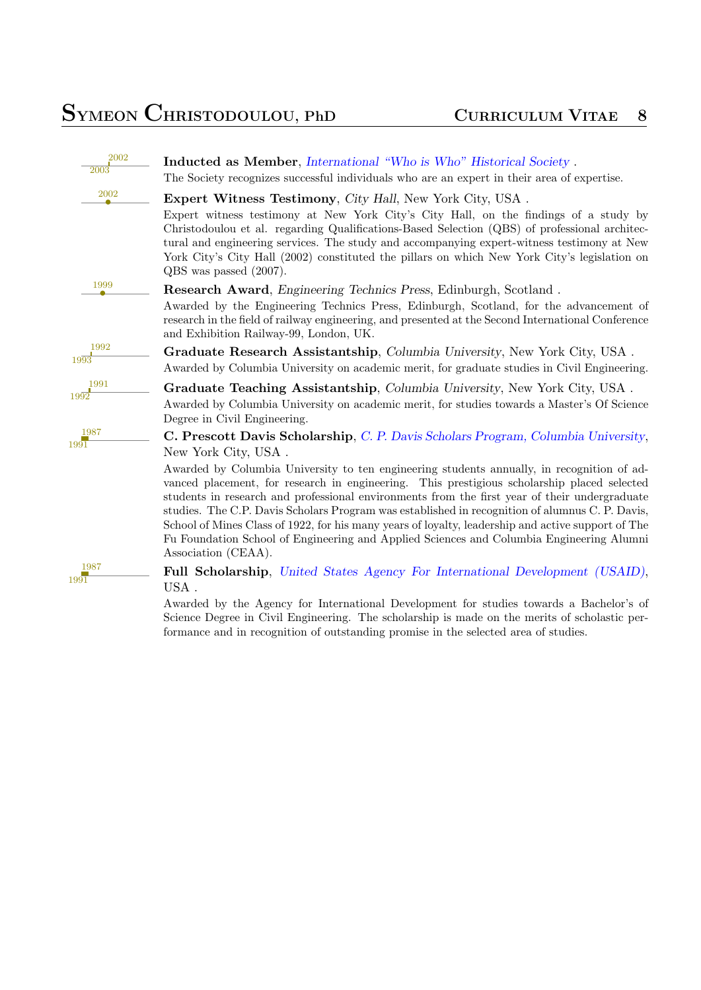| 2002         |                                                                                                                                                                                                                                                                                                                                                                                                                                                                                                                                                                                                                                                                                                                                          |
|--------------|------------------------------------------------------------------------------------------------------------------------------------------------------------------------------------------------------------------------------------------------------------------------------------------------------------------------------------------------------------------------------------------------------------------------------------------------------------------------------------------------------------------------------------------------------------------------------------------------------------------------------------------------------------------------------------------------------------------------------------------|
| 2003         | <b>Inducted as Member, International "Who is Who" Historical Society.</b><br>The Society recognizes successful individuals who are an expert in their area of expertise.                                                                                                                                                                                                                                                                                                                                                                                                                                                                                                                                                                 |
| 2002         | <b>Expert Witness Testimony, City Hall, New York City, USA.</b><br>Expert witness testimony at New York City's City Hall, on the findings of a study by<br>Christodoulou et al. regarding Qualifications-Based Selection (QBS) of professional architec-<br>tural and engineering services. The study and accompanying expert-witness testimony at New<br>York City's City Hall (2002) constituted the pillars on which New York City's legislation on<br>QBS was passed (2007).                                                                                                                                                                                                                                                         |
| 1999         | <b>Research Award</b> , <i>Engineering Technics Press</i> , <i>Edinburgh</i> , <i>Scotland.</i><br>Awarded by the Engineering Technics Press, Edinburgh, Scotland, for the advancement of<br>research in the field of railway engineering, and presented at the Second International Conference<br>and Exhibition Railway-99, London, UK.                                                                                                                                                                                                                                                                                                                                                                                                |
| 1992<br>1993 | <b>Graduate Research Assistantship, Columbia University, New York City, USA.</b><br>Awarded by Columbia University on academic merit, for graduate studies in Civil Engineering.                                                                                                                                                                                                                                                                                                                                                                                                                                                                                                                                                         |
| 1991<br>1992 | Graduate Teaching Assistantship, Columbia University, New York City, USA.<br>Awarded by Columbia University on academic merit, for studies towards a Master's Of Science<br>Degree in Civil Engineering.                                                                                                                                                                                                                                                                                                                                                                                                                                                                                                                                 |
| 1987<br>1991 | <b>C. Prescott Davis Scholarship,</b> C. P. Davis Scholars Program, Columbia University,<br>New York City, USA.<br>Awarded by Columbia University to ten engineering students annually, in recognition of ad-<br>vanced placement, for research in engineering. This prestigious scholarship placed selected<br>students in research and professional environments from the first year of their undergraduate<br>studies. The C.P. Davis Scholars Program was established in recognition of alumnus C.P. Davis,<br>School of Mines Class of 1922, for his many years of loyalty, leadership and active support of The<br>Fu Foundation School of Engineering and Applied Sciences and Columbia Engineering Alumni<br>Association (CEAA). |
| 1987<br>1991 | <b>Full Scholarship,</b> United States Agency For International Development (USAID),<br>USA.<br>Awarded by the Agency for International Development for studies towards a Bachelor's of                                                                                                                                                                                                                                                                                                                                                                                                                                                                                                                                                  |

Awarded by the Agency for International Development for studies towards a Bachelor's of Science Degree in Civil Engineering. The scholarship is made on the merits of scholastic performance and in recog[nition of outstanding promise in the selected area of studies.](http://www.fulbright.org.cy/nqcontent.cfm?a_id=5279&tt=graphic&lang=l1)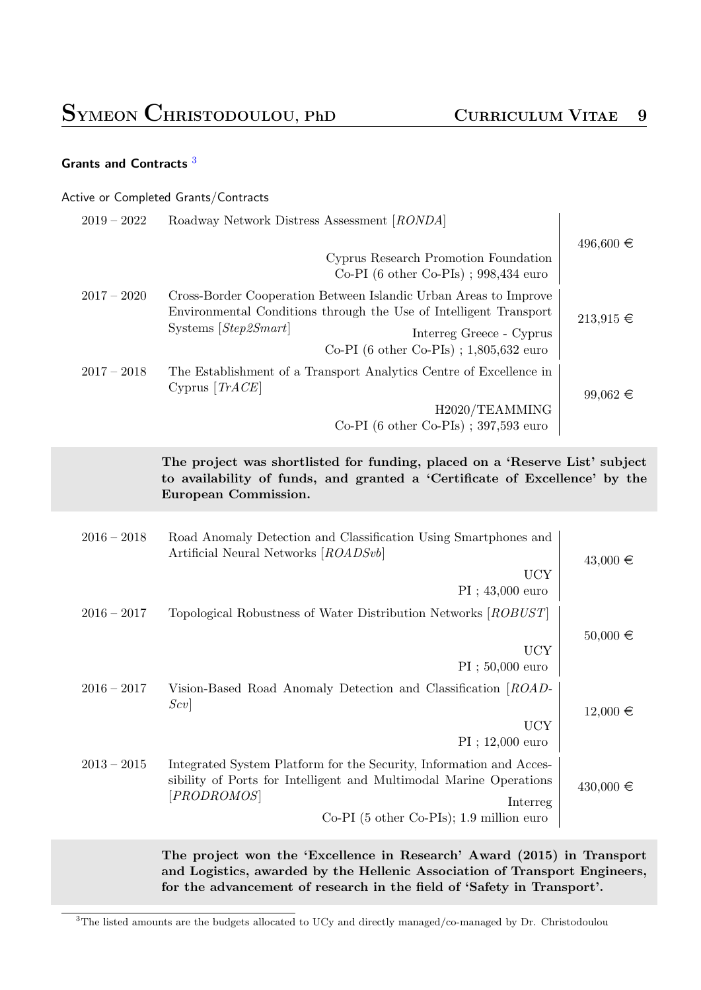### **Grants and Contracts** <sup>3</sup>

|               | Active or Completed Grants/Contracts                                                                                                                                                                                                             |               |
|---------------|--------------------------------------------------------------------------------------------------------------------------------------------------------------------------------------------------------------------------------------------------|---------------|
| $2019 - 2022$ | Roadway Network Distress Assessment [RONDA]                                                                                                                                                                                                      | $496,600 \in$ |
|               | Cyprus Research Promotion Foundation<br>Co-PI $(6 \text{ other Co-PIs})$ ; 998,434 euro                                                                                                                                                          |               |
| $2017 - 2020$ | Cross-Border Cooperation Between Islandic Urban Areas to Improve<br>Environmental Conditions through the Use of Intelligent Transport<br>Systems $[Step2Smart]$<br>Interreg Greece - Cyprus<br>Co-PI $(6 \text{ other Co-PIs})$ ; 1,805,632 euro | $213,915 \in$ |
| $2017 - 2018$ | The Establishment of a Transport Analytics Centre of Excellence in<br>Cyprus $[TrACE]$<br>H2020/TEAMMING<br>Co-PI (6 other Co-PIs) ; 397,593 euro                                                                                                | $99,062 \in$  |
|               | The project was shortlisted for funding, placed on a 'Reserve List' subject<br>to availability of funds, and granted a 'Certificate of Excellence' by the<br>European Commission.                                                                |               |
| $2016 - 2018$ | Road Anomaly Detection and Classification Using Smartphones and<br>Artificial Neural Networks [ROADSvb]<br><b>UCY</b>                                                                                                                            | $43,000 \in$  |
| $2016 - 2017$ | $PI$ ; 43,000 euro<br>Topological Robustness of Water Distribution Networks [ROBUST]<br><b>UCY</b><br>$PI$ ; 50,000 euro                                                                                                                         | $50,000 \in$  |
| $2016 - 2017$ | Vision-Based Road Anomaly Detection and Classification [ROAD-<br> Scv <br><b>UCY</b><br>$PI$ ; 12,000 euro                                                                                                                                       | $12,000 \in$  |
| $2013 - 2015$ | Integrated System Platform for the Security, Information and Acces-<br>sibility of Ports for Intelligent and Multimodal Marine Operations<br>[PRODROMOS]<br>Interreg<br>$Co-PI$ (5 other Co-PIs); 1.9 million euro                               | $430,000 \in$ |
|               | The project won the 'Excellence in Research' Award (2015) in Transport<br>and Logistics, awarded by the Hellenic Association of Transport Engineers,                                                                                             |               |

<span id="page-8-0"></span><sup>3</sup>The listed amounts are the budgets allocated to UCy and directly managed/co-managed by Dr. Christodoulou

**for the advancement of research in the field of 'Safety in Transport'.**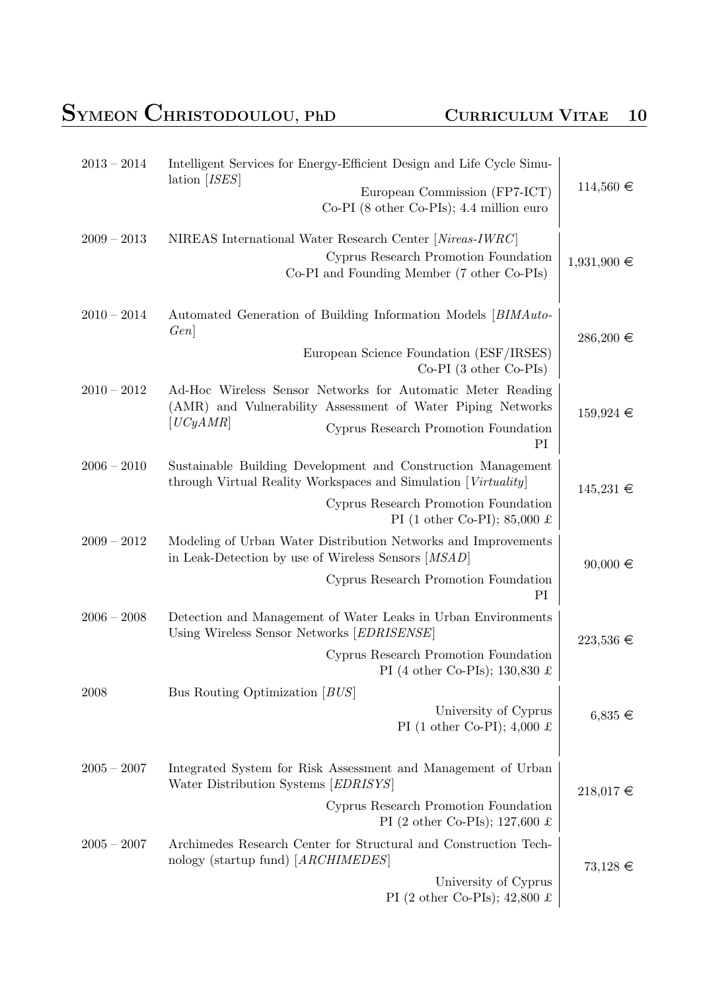# **SYMEON CHRISTODOULOU, PhD <sup>C</sup>URRICULUM <sup>V</sup>ITAE <sup>10</sup>**

| $2013 - 2014$ | Intelligent Services for Energy-Efficient Design and Life Cycle Simu-                                                                                                                |                 |
|---------------|--------------------------------------------------------------------------------------------------------------------------------------------------------------------------------------|-----------------|
|               | lation $[ISES]$<br>European Commission (FP7-ICT)<br>$Co-PI$ (8 other $Co-PIs$ ); 4.4 million euro                                                                                    | $114,560 \in$   |
| $2009 - 2013$ | NIREAS International Water Research Center [Nireas-IWRC]<br>Cyprus Research Promotion Foundation<br>Co-PI and Founding Member (7 other Co-PIs)                                       | $1,931,900 \in$ |
| $2010 - 2014$ | Automated Generation of Building Information Models [BIMAuto-<br>Gen                                                                                                                 | $286,200 \in$   |
|               | European Science Foundation (ESF/IRSES)<br>$Co-PI$ (3 other $Co-PIs$ )                                                                                                               |                 |
| $2010 - 2012$ | Ad-Hoc Wireless Sensor Networks for Automatic Meter Reading<br>(AMR) and Vulnerability Assessment of Water Piping Networks<br>[UCyAMR]<br>Cyprus Research Promotion Foundation<br>PI | $159,924 \in$   |
| $2006 - 2010$ | Sustainable Building Development and Construction Management<br>through Virtual Reality Workspaces and Simulation [Virtuality]                                                       | $145,231 \in$   |
|               | Cyprus Research Promotion Foundation<br>PI (1 other Co-PI); 85,000 £                                                                                                                 |                 |
| $2009 - 2012$ | Modeling of Urban Water Distribution Networks and Improvements<br>in Leak-Detection by use of Wireless Sensors [MSAD]                                                                | $90,000 \in$    |
|               | Cyprus Research Promotion Foundation<br>PI                                                                                                                                           |                 |
| $2006 - 2008$ | Detection and Management of Water Leaks in Urban Environments<br>Using Wireless Sensor Networks [EDRISENSE]                                                                          | $223,536 \in$   |
|               | Cyprus Research Promotion Foundation<br>PI (4 other Co-PIs); 130,830 £                                                                                                               |                 |
| 2008          | Bus Routing Optimization $[BUS]$                                                                                                                                                     |                 |
|               | University of Cyprus<br>PI (1 other Co-PI); 4,000 £                                                                                                                                  | $6,835 \in$     |
| $2005 - 2007$ | Integrated System for Risk Assessment and Management of Urban<br>Water Distribution Systems [EDRISYS]                                                                                | $218,017 \in$   |
|               | Cyprus Research Promotion Foundation<br>PI (2 other Co-PIs); 127,600 £                                                                                                               |                 |
| $2005 - 2007$ | Archimedes Research Center for Structural and Construction Tech-<br>nology (startup fund) [ARCHIMEDES]                                                                               | $73,128 \in$    |
|               | University of Cyprus<br>PI (2 other Co-PIs); 42,800 £                                                                                                                                |                 |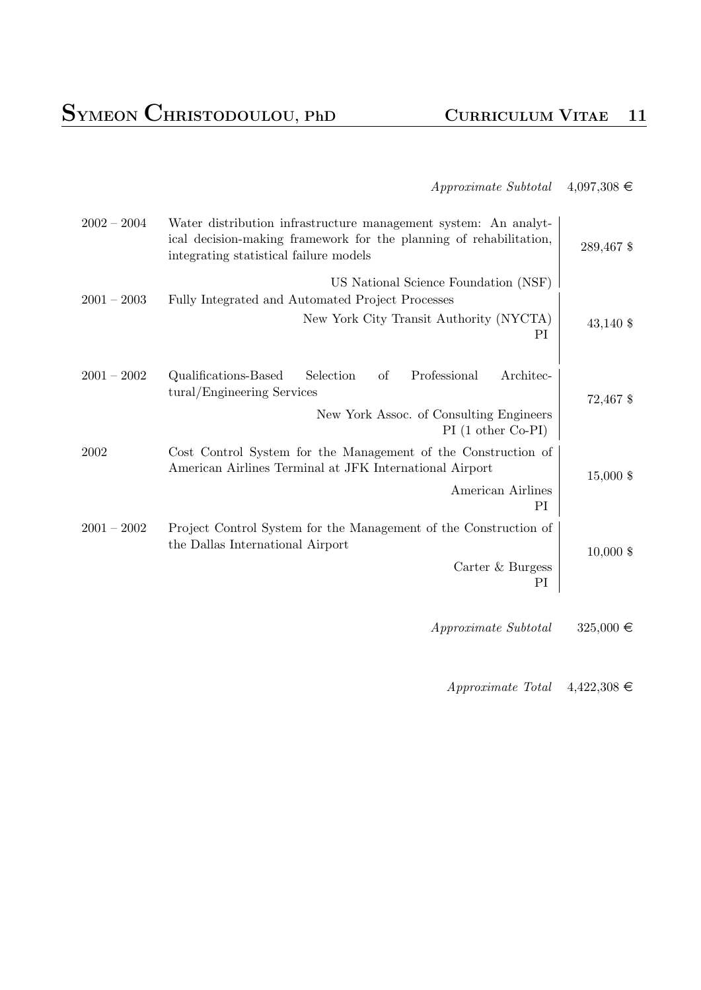### $Approximate Subtotal \quad 4,097,308 \in$

| 289,467 \$    | Water distribution infrastructure management system: An analyt-<br>ical decision-making framework for the planning of rehabilitation,<br>integrating statistical failure models | $2002 - 2004$ |
|---------------|---------------------------------------------------------------------------------------------------------------------------------------------------------------------------------|---------------|
| $43,140$ \$   | US National Science Foundation (NSF)<br>Fully Integrated and Automated Project Processes<br>New York City Transit Authority (NYCTA)<br>PI                                       | $2001 - 2003$ |
| 72,467 \$     | Professional<br>Architec-<br>Qualifications-Based<br>Selection<br>of<br>tural/Engineering Services<br>New York Assoc. of Consulting Engineers                                   | $2001 - 2002$ |
| 15,000 \$     | $PI(1 other Co-PI)$<br>Cost Control System for the Management of the Construction of<br>American Airlines Terminal at JFK International Airport<br>American Airlines<br>PI      | 2002          |
| $10,000$ \$   | Project Control System for the Management of the Construction of<br>the Dallas International Airport<br>Carter & Burgess<br>PI                                                  | $2001 - 2002$ |
| $325,000 \in$ | Approximate Subtotal                                                                                                                                                            |               |

*Approximate Total*  $4,422,308 \in$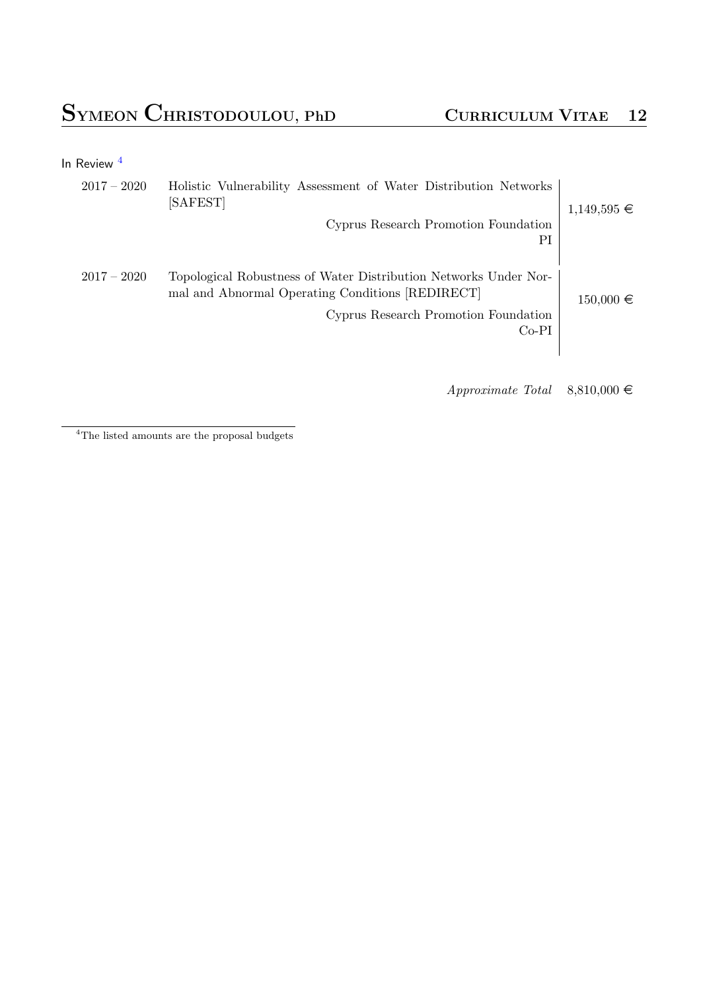|  | In Review |  |
|--|-----------|--|
|--|-----------|--|

| $1,149,595 \in$ | Holistic Vulnerability Assessment of Water Distribution Networks<br>[SAFEST]<br>Cyprus Research Promotion Foundation<br>PI                                              | $2017 - 2020$ |
|-----------------|-------------------------------------------------------------------------------------------------------------------------------------------------------------------------|---------------|
| $150,000 \in$   | Topological Robustness of Water Distribution Networks Under Nor-<br>mal and Abnormal Operating Conditions [REDIRECT]<br>Cyprus Research Promotion Foundation<br>$Co-PI$ | $2017 - 2020$ |

 $Approximate$  Total  $8,810,000 \in$ 

<sup>4</sup>The listed amounts are the proposal budgets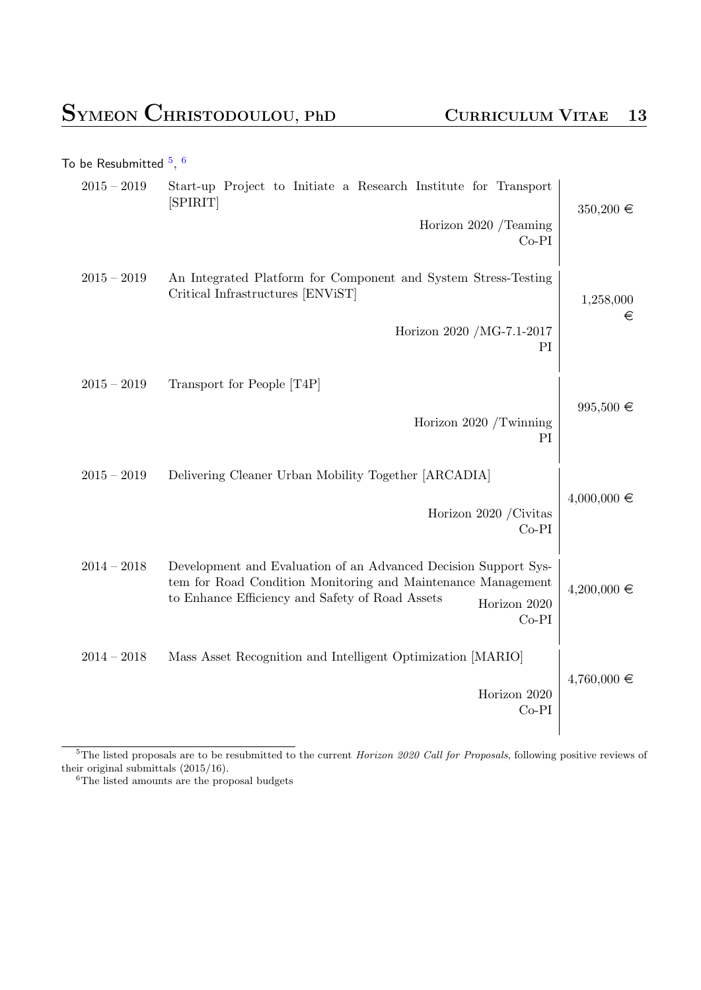|                 |                                                                                                                                                                                                               | To be Resubmitted $^5,\,^6$ |
|-----------------|---------------------------------------------------------------------------------------------------------------------------------------------------------------------------------------------------------------|-----------------------------|
| $350,200 \in$   | Start-up Project to Initiate a Research Institute for Transport<br>[SPIRIT]                                                                                                                                   | $2015-2019\,$               |
|                 | Horizon 2020 /Teaming<br>$Co-PI$                                                                                                                                                                              |                             |
| 1,258,000<br>€  | An Integrated Platform for Component and System Stress-Testing<br>Critical Infrastructures [ENViST]                                                                                                           | $2015 - 2019$               |
|                 | Horizon 2020 /MG-7.1-2017<br>PI                                                                                                                                                                               |                             |
|                 | Transport for People [T4P]                                                                                                                                                                                    | $2015 - 2019$               |
| $995,500 \in$   | Horizon 2020 /Twinning<br>PI                                                                                                                                                                                  |                             |
|                 | Delivering Cleaner Urban Mobility Together [ARCADIA]                                                                                                                                                          | $2015 - 2019$               |
| $4,000,000 \in$ | Horizon 2020 / Civitas<br>$Co-PI$                                                                                                                                                                             |                             |
| $4,200,000 \in$ | Development and Evaluation of an Advanced Decision Support Sys-<br>tem for Road Condition Monitoring and Maintenance Management<br>to Enhance Efficiency and Safety of Road Assets<br>Horizon 2020<br>$Co-PI$ | $2014 - 2018$               |
|                 | Mass Asset Recognition and Intelligent Optimization [MARIO]                                                                                                                                                   | $2014 - 2018$               |
| $4,760,000 \in$ | Horizon 2020<br>$Co-PI$                                                                                                                                                                                       |                             |
|                 |                                                                                                                                                                                                               |                             |

<sup>5</sup>The listed proposals are to be resubmitted to the current *Horizon 2020 Call for Proposals*, following positive reviews of their original submittals (2015/16).

<sup>6</sup>The listed amounts are the proposal budgets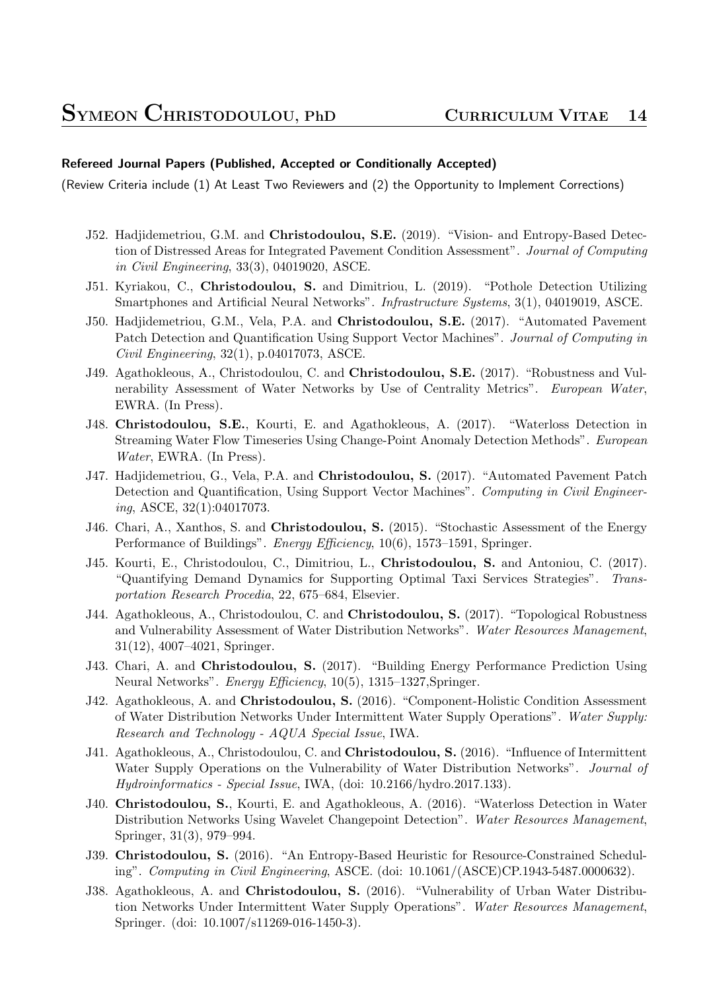#### **Refereed Journal Papers (Published, Accepted or Conditionally Accepted)**

(Review Criteria include (1) At Least Two Reviewers and (2) the Opportunity to Implement Corrections)

- J52. Hadjidemetriou, G.M. and **Christodoulou, S.E.** (2019). "Vision- and Entropy-Based Detection of Distressed Areas for Integrated Pavement Condition Assessment". *Journal of Computing in Civil Engineering*, 33(3), 04019020, ASCE.
- J51. Kyriakou, C., **Christodoulou, S.** and Dimitriou, L. (2019). "Pothole Detection Utilizing Smartphones and Artificial Neural Networks". *Infrastructure Systems*, 3(1), 04019019, ASCE.
- J50. Hadjidemetriou, G.M., Vela, P.A. and **Christodoulou, S.E.** (2017). "Automated Pavement Patch Detection and Quantification Using Support Vector Machines". *Journal of Computing in Civil Engineering*, 32(1), p.04017073, ASCE.
- J49. Agathokleous, A., Christodoulou, C. and **Christodoulou, S.E.** (2017). "Robustness and Vulnerability Assessment of Water Networks by Use of Centrality Metrics". *European Water*, EWRA. (In Press).
- J48. **Christodoulou, S.E.**, Kourti, E. and Agathokleous, A. (2017). "Waterloss Detection in Streaming Water Flow Timeseries Using Change-Point Anomaly Detection Methods". *European Water*, EWRA. (In Press).
- J47. Hadjidemetriou, G., Vela, P.A. and **Christodoulou, S.** (2017). "Automated Pavement Patch Detection and Quantification, Using Support Vector Machines". *Computing in Civil Engineering*, ASCE, 32(1):04017073.
- J46. Chari, A., Xanthos, S. and **Christodoulou, S.** (2015). "Stochastic Assessment of the Energy Performance of Buildings". *Energy Efficiency*, 10(6), 1573–1591, Springer.
- J45. Kourti, E., Christodoulou, C., Dimitriou, L., **Christodoulou, S.** and Antoniou, C. (2017). "Quantifying Demand Dynamics for Supporting Optimal Taxi Services Strategies". *Transportation Research Procedia*, 22, 675–684, Elsevier.
- J44. Agathokleous, A., Christodoulou, C. and **Christodoulou, S.** (2017). "Topological Robustness and Vulnerability Assessment of Water Distribution Networks". *Water Resources Management*, 31(12), 4007–4021, Springer.
- J43. Chari, A. and **Christodoulou, S.** (2017). "Building Energy Performance Prediction Using Neural Networks". *Energy Efficiency*, 10(5), 1315–1327,Springer.
- J42. Agathokleous, A. and **Christodoulou, S.** (2016). "Component-Holistic Condition Assessment of Water Distribution Networks Under Intermittent Water Supply Operations". *Water Supply: Research and Technology - AQUA Special Issue*, IWA.
- J41. Agathokleous, A., Christodoulou, C. and **Christodoulou, S.** (2016). "Influence of Intermittent Water Supply Operations on the Vulnerability of Water Distribution Networks". *Journal of Hydroinformatics - Special Issue*, IWA, (doi: 10.2166/hydro.2017.133).
- J40. **Christodoulou, S.**, Kourti, E. and Agathokleous, A. (2016). "Waterloss Detection in Water Distribution Networks Using Wavelet Changepoint Detection". *Water Resources Management*, Springer, 31(3), 979–994.
- J39. **Christodoulou, S.** (2016). "An Entropy-Based Heuristic for Resource-Constrained Scheduling". *Computing in Civil Engineering*, ASCE. (doi: 10.1061/(ASCE)CP.1943-5487.0000632).
- J38. Agathokleous, A. and **Christodoulou, S.** (2016). "Vulnerability of Urban Water Distribution Networks Under Intermittent Water Supply Operations". *Water Resources Management*, Springer. (doi: 10.1007/s11269-016-1450-3).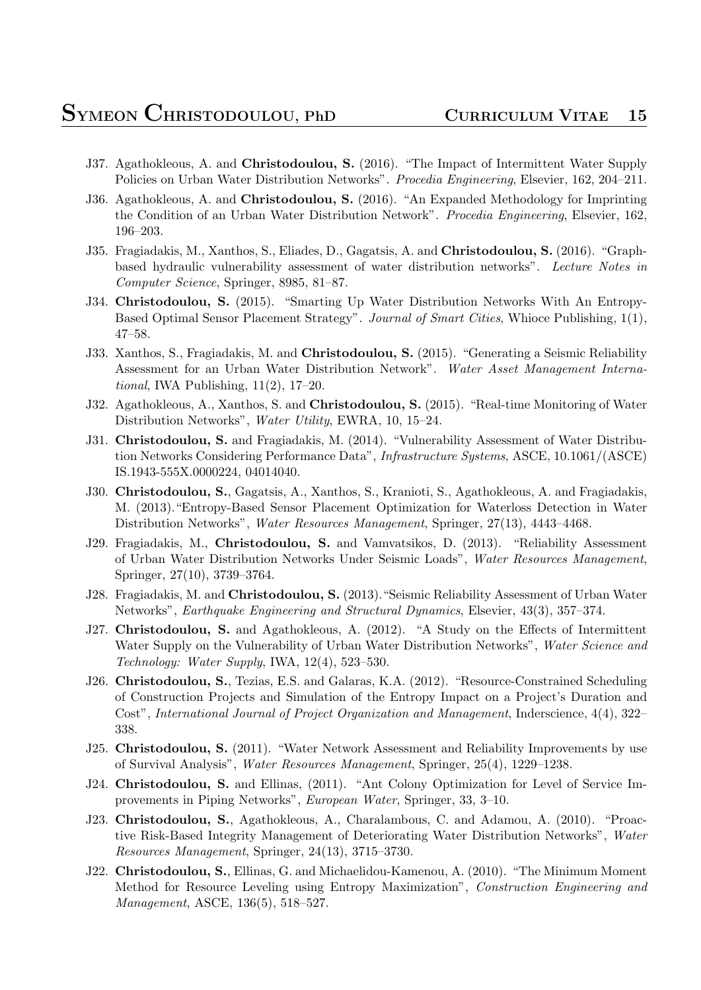- J37. Agathokleous, A. and **Christodoulou, S.** (2016). "The Impact of Intermittent Water Supply Policies on Urban Water Distribution Networks". *Procedia Engineering*, Elsevier, 162, 204–211.
- J36. Agathokleous, A. and **Christodoulou, S.** (2016). "An Expanded Methodology for Imprinting the Condition of an Urban Water Distribution Network". *Procedia Engineering*, Elsevier, 162, 196–203.
- J35. Fragiadakis, M., Xanthos, S., Eliades, D., Gagatsis, A. and **Christodoulou, S.** (2016). "Graphbased hydraulic vulnerability assessment of water distribution networks". *Lecture Notes in Computer Science*, Springer, 8985, 81–87.
- J34. **Christodoulou, S.** (2015). "Smarting Up Water Distribution Networks With An Entropy-Based Optimal Sensor Placement Strategy". *Journal of Smart Cities*, Whioce Publishing, 1(1), 47–58.
- J33. Xanthos, S., Fragiadakis, M. and **Christodoulou, S.** (2015). "Generating a Seismic Reliability Assessment for an Urban Water Distribution Network". *Water Asset Management International*, IWA Publishing, 11(2), 17–20.
- J32. Agathokleous, A., Xanthos, S. and **Christodoulou, S.** (2015). "Real-time Monitoring of Water Distribution Networks", *Water Utility*, EWRA, 10, 15–24.
- J31. **Christodoulou, S.** and Fragiadakis, M. (2014). "Vulnerability Assessment of Water Distribution Networks Considering Performance Data", *Infrastructure Systems*, ASCE, 10.1061/(ASCE) IS.1943-555X.0000224, 04014040.
- J30. **Christodoulou, S.**, Gagatsis, A., Xanthos, S., Kranioti, S., Agathokleous, A. and Fragiadakis, M. (2013)."Entropy-Based Sensor Placement Optimization for Waterloss Detection in Water Distribution Networks", *Water Resources Management*, Springer, 27(13), 4443–4468.
- J29. Fragiadakis, M., **Christodoulou, S.** and Vamvatsikos, D. (2013). "Reliability Assessment of Urban Water Distribution Networks Under Seismic Loads", *Water Resources Management*, Springer, 27(10), 3739–3764.
- J28. Fragiadakis, M. and **Christodoulou, S.** (2013)."Seismic Reliability Assessment of Urban Water Networks", *Earthquake Engineering and Structural Dynamics*, Elsevier, 43(3), 357–374.
- J27. **Christodoulou, S.** and Agathokleous, A. (2012). "A Study on the Effects of Intermittent Water Supply on the Vulnerability of Urban Water Distribution Networks", *Water Science and Technology: Water Supply*, IWA, 12(4), 523–530.
- J26. **Christodoulou, S.**, Tezias, E.S. and Galaras, K.A. (2012). "Resource-Constrained Scheduling of Construction Projects and Simulation of the Entropy Impact on a Project's Duration and Cost", *International Journal of Project Organization and Management*, Inderscience, 4(4), 322– 338.
- J25. **Christodoulou, S.** (2011). "Water Network Assessment and Reliability Improvements by use of Survival Analysis", *Water Resources Management*, Springer, 25(4), 1229–1238.
- J24. **Christodoulou, S.** and Ellinas, (2011). "Ant Colony Optimization for Level of Service Improvements in Piping Networks", *European Water*, Springer, 33, 3–10.
- J23. **Christodoulou, S.**, Agathokleous, A., Charalambous, C. and Adamou, A. (2010). "Proactive Risk-Based Integrity Management of Deteriorating Water Distribution Networks", *Water Resources Management*, Springer, 24(13), 3715–3730.
- J22. **Christodoulou, S.**, Ellinas, G. and Michaelidou-Kamenou, A. (2010). "The Minimum Moment Method for Resource Leveling using Entropy Maximization", *Construction Engineering and Management*, ASCE, 136(5), 518–527.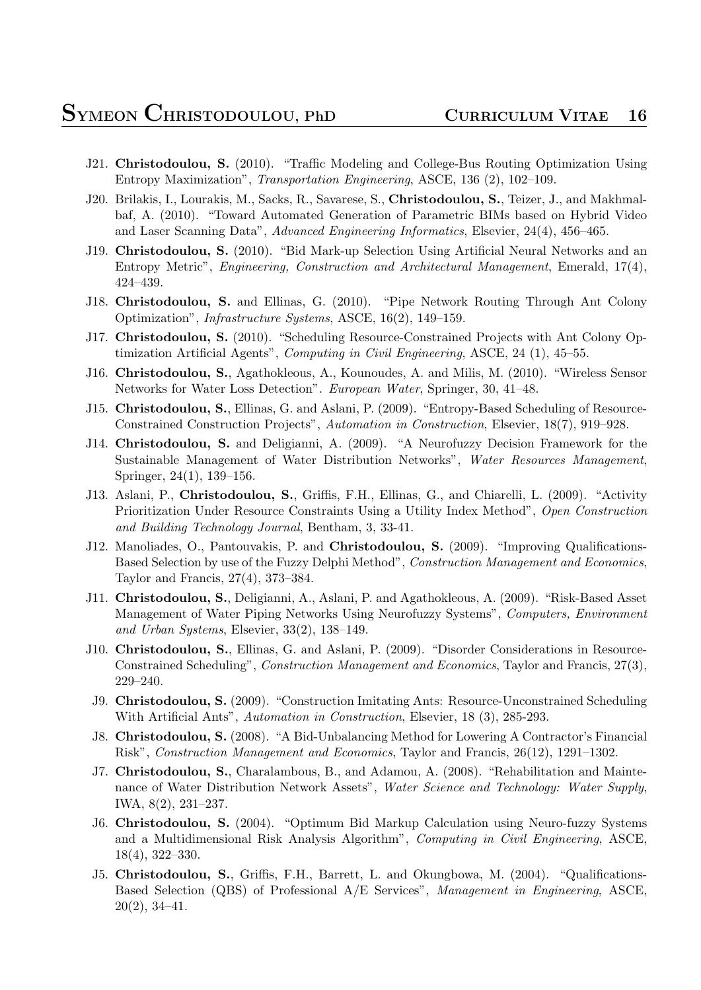- J21. **Christodoulou, S.** (2010). "Traffic Modeling and College-Bus Routing Optimization Using Entropy Maximization", *Transportation Engineering*, ASCE, 136 (2), 102–109.
- J20. Brilakis, I., Lourakis, M., Sacks, R., Savarese, S., **Christodoulou, S.**, Teizer, J., and Makhmalbaf, A. (2010). "Toward Automated Generation of Parametric BIMs based on Hybrid Video and Laser Scanning Data", *Advanced Engineering Informatics*, Elsevier, 24(4), 456–465.
- J19. **Christodoulou, S.** (2010). "Bid Mark-up Selection Using Artificial Neural Networks and an Entropy Metric", *Engineering, Construction and Architectural Management*, Emerald, 17(4), 424–439.
- J18. **Christodoulou, S.** and Ellinas, G. (2010). "Pipe Network Routing Through Ant Colony Optimization", *Infrastructure Systems*, ASCE, 16(2), 149–159.
- J17. **Christodoulou, S.** (2010). "Scheduling Resource-Constrained Projects with Ant Colony Optimization Artificial Agents", *Computing in Civil Engineering*, ASCE, 24 (1), 45–55.
- J16. **Christodoulou, S.**, Agathokleous, A., Kounoudes, A. and Milis, M. (2010). "Wireless Sensor Networks for Water Loss Detection". *European Water*, Springer, 30, 41–48.
- J15. **Christodoulou, S.**, Ellinas, G. and Aslani, P. (2009). "Entropy-Based Scheduling of Resource-Constrained Construction Projects", *Automation in Construction*, Elsevier, 18(7), 919–928.
- J14. **Christodoulou, S.** and Deligianni, A. (2009). "A Neurofuzzy Decision Framework for the Sustainable Management of Water Distribution Networks", *Water Resources Management*, Springer, 24(1), 139–156.
- J13. Aslani, P., **Christodoulou, S.**, Griffis, F.H., Ellinas, G., and Chiarelli, L. (2009). "Activity Prioritization Under Resource Constraints Using a Utility Index Method", *Open Construction and Building Technology Journal*, Bentham, 3, 33-41.
- J12. Manoliades, O., Pantouvakis, P. and **Christodoulou, S.** (2009). "Improving Qualifications-Based Selection by use of the Fuzzy Delphi Method", *Construction Management and Economics*, Taylor and Francis, 27(4), 373–384.
- J11. **Christodoulou, S.**, Deligianni, A., Aslani, P. and Agathokleous, A. (2009). "Risk-Based Asset Management of Water Piping Networks Using Neurofuzzy Systems", *Computers, Environment and Urban Systems*, Elsevier, 33(2), 138–149.
- J10. **Christodoulou, S.**, Ellinas, G. and Aslani, P. (2009). "Disorder Considerations in Resource-Constrained Scheduling", *Construction Management and Economics*, Taylor and Francis, 27(3), 229–240.
- J9. **Christodoulou, S.** (2009). "Construction Imitating Ants: Resource-Unconstrained Scheduling With Artificial Ants", *Automation in Construction*, Elsevier, 18 (3), 285-293.
- J8. **Christodoulou, S.** (2008). "A Bid-Unbalancing Method for Lowering A Contractor's Financial Risk", *Construction Management and Economics*, Taylor and Francis, 26(12), 1291–1302.
- J7. **Christodoulou, S.**, Charalambous, B., and Adamou, A. (2008). "Rehabilitation and Maintenance of Water Distribution Network Assets", *Water Science and Technology: Water Supply*, IWA, 8(2), 231–237.
- J6. **Christodoulou, S.** (2004). "Optimum Bid Markup Calculation using Neuro-fuzzy Systems and a Multidimensional Risk Analysis Algorithm", *Computing in Civil Engineering*, ASCE, 18(4), 322–330.
- J5. **Christodoulou, S.**, Griffis, F.H., Barrett, L. and Okungbowa, M. (2004). "Qualifications-Based Selection (QBS) of Professional A/E Services", *Management in Engineering*, ASCE, 20(2), 34–41.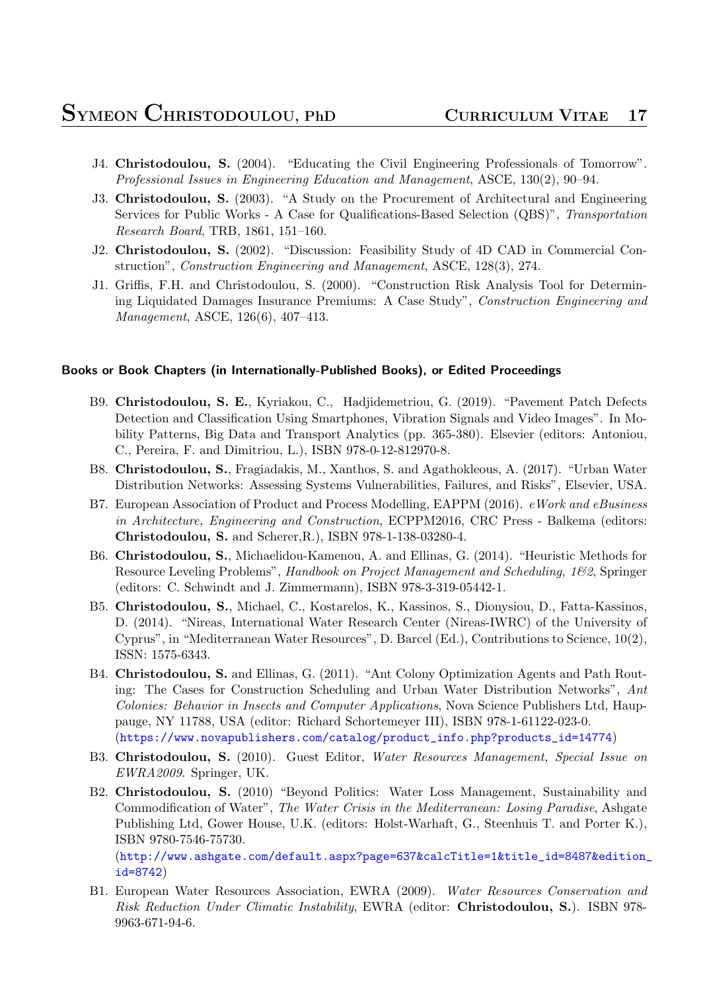- J4. **Christodoulou, S.** (2004). "Educating the Civil Engineering Professionals of Tomorrow". *Professional Issues in Engineering Education and Management*, ASCE, 130(2), 90–94.
- J3. **Christodoulou, S.** (2003). "A Study on the Procurement of Architectural and Engineering Services for Public Works - A Case for Qualifications-Based Selection (QBS)", *Transportation Research Board*, TRB, 1861, 151–160.
- J2. **Christodoulou, S.** (2002). "Discussion: Feasibility Study of 4D CAD in Commercial Construction", *Construction Engineering and Management*, ASCE, 128(3), 274.
- J1. Griffis, F.H. and Christodoulou, S. (2000). "Construction Risk Analysis Tool for Determining Liquidated Damages Insurance Premiums: A Case Study", *Construction Engineering and Management*, ASCE, 126(6), 407–413.

#### **Books or Book Chapters (in Internationally-Published Books), or Edited Proceedings**

- B9. **Christodoulou, S. E.**, Kyriakou, C., Hadjidemetriou, G. (2019). "Pavement Patch Defects Detection and Classification Using Smartphones, Vibration Signals and Video Images". In Mobility Patterns, Big Data and Transport Analytics (pp. 365-380). Elsevier (editors: Antoniou, C., Pereira, F. and Dimitriou, L.), ISBN 978-0-12-812970-8.
- B8. **Christodoulou, S.**, Fragiadakis, M., Xanthos, S. and Agathokleous, A. (2017). "Urban Water Distribution Networks: Assessing Systems Vulnerabilities, Failures, and Risks", Elsevier, USA.
- B7. European Association of Product and Process Modelling, EAPPM (2016). *eWork and eBusiness in Architecture, Engineering and Construction*, ECPPM2016, CRC Press - Balkema (editors: **Christodoulou, S.** and Scherer,R.), ISBN 978-1-138-03280-4.
- B6. **Christodoulou, S.**, Michaelidou-Kamenou, A. and Ellinas, G. (2014). "Heuristic Methods for Resource Leveling Problems", *Handbook on Project Management and Scheduling, 1&2*, Springer (editors: C. Schwindt and J. Zimmermann), ISBN 978-3-319-05442-1.
- B5. **Christodoulou, S.**, Michael, C., Kostarelos, K., Kassinos, S., Dionysiou, D., Fatta-Kassinos, D. (2014). "Nireas, International Water Research Center (Nireas-IWRC) of the University of Cyprus", in "Mediterranean Water Resources", D. Barcel (Ed.), Contributions to Science, 10(2), ISSN: 1575-6343.
- B4. **Christodoulou, S.** and Ellinas, G. (2011). "Ant Colony Optimization Agents and Path Routing: The Cases for Construction Scheduling and Urban Water Distribution Networks", *Ant Colonies: Behavior in Insects and Computer Applications*, Nova Science Publishers Ltd, Hauppauge, NY 11788, USA (editor: Richard Schortemeyer III), ISBN 978-1-61122-023-0. (https://www.novapublishers.com/catalog/product\_info.php?products\_id=14774)
- B3. **Christodoulou, S.** (2010). Guest Editor, *Water Resources Management, Special Issue on EWRA2009*. Springer, UK.
- B2. **Christodoulou, S.** [\(2010\) "Beyond Politics: Water Loss Management, Sustainabilit](https://www.novapublishers.com/catalog/product_info.php?products_id=14774)y and Commodification of Water", *The Water Crisis in the Mediterranean: Losing Paradise*, Ashgate Publishing Ltd, Gower House, U.K. (editors: Holst-Warhaft, G., Steenhuis T. and Porter K.), ISBN 9780-7546-75730.

(http://www.ashgate.com/default.aspx?page=637&calcTitle=1&title\_id=8487&edition\_ id=8742)

B1. European Water Resources Association, EWRA (2009). *Water Resources Conservation and [Risk Reduction Under Climatic Instability](http://www.ashgate.com/default.aspx?page=637&calcTitle=1&title_id=8487&edition_id=8742)*, EWRA (editor: **Christodoulou, S.**). ISBN 978- [9963-671](http://www.ashgate.com/default.aspx?page=637&calcTitle=1&title_id=8487&edition_id=8742)-94-6.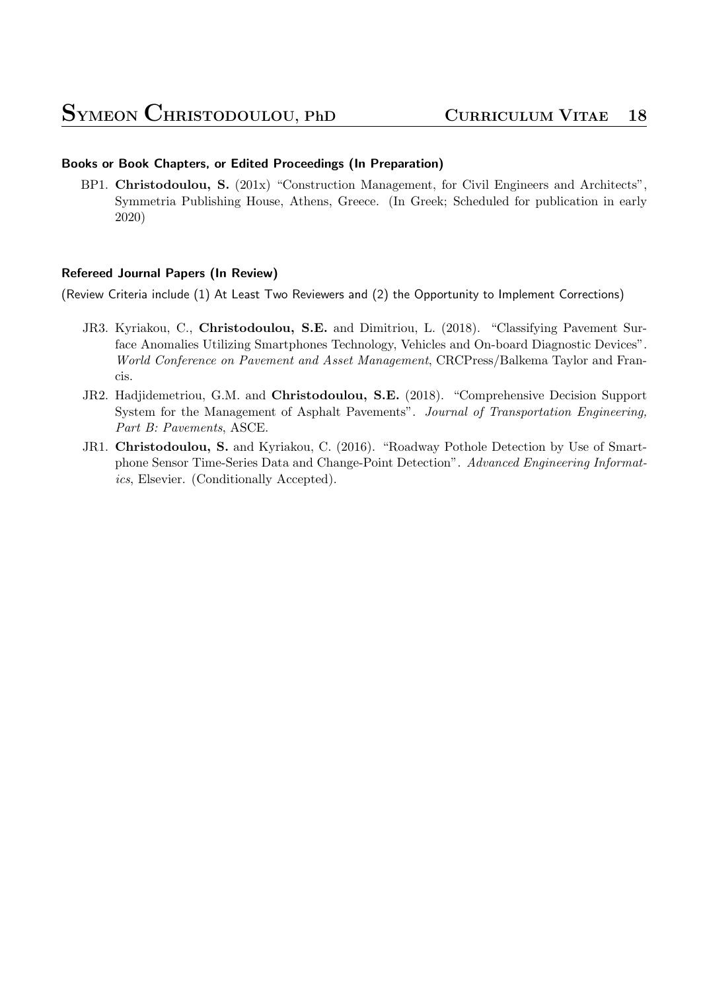### **Books or Book Chapters, or Edited Proceedings (In Preparation)**

BP1. **Christodoulou, S.** (201x) "Construction Management, for Civil Engineers and Architects", Symmetria Publishing House, Athens, Greece. (In Greek; Scheduled for publication in early 2020)

### **Refereed Journal Papers (In Review)**

(Review Criteria include (1) At Least Two Reviewers and (2) the Opportunity to Implement Corrections)

- JR3. Kyriakou, C., **Christodoulou, S.E.** and Dimitriou, L. (2018). "Classifying Pavement Surface Anomalies Utilizing Smartphones Technology, Vehicles and On-board Diagnostic Devices". *World Conference on Pavement and Asset Management*, CRCPress/Balkema Taylor and Francis.
- JR2. Hadjidemetriou, G.M. and **Christodoulou, S.E.** (2018). "Comprehensive Decision Support System for the Management of Asphalt Pavements". *Journal of Transportation Engineering, Part B: Pavements*, ASCE.
- JR1. **Christodoulou, S.** and Kyriakou, C. (2016). "Roadway Pothole Detection by Use of Smartphone Sensor Time-Series Data and Change-Point Detection". *Advanced Engineering Informatics*, Elsevier. (Conditionally Accepted).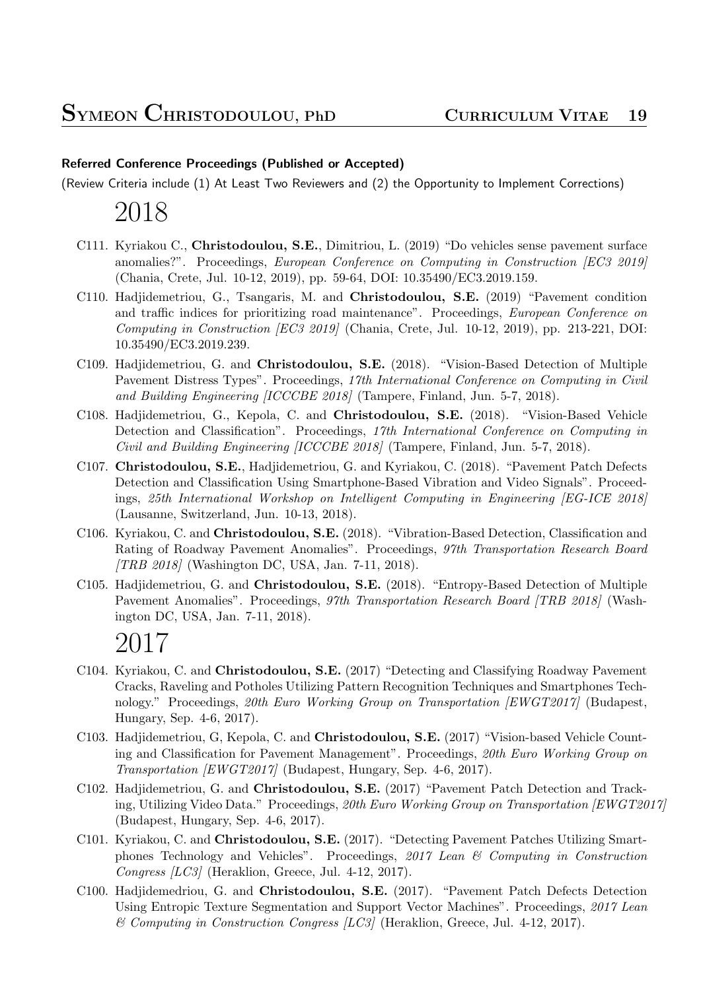### **Referred Conference Proceedings (Published or Accepted)**

(Review Criteria include (1) At Least Two Reviewers and (2) the Opportunity to Implement Corrections)

### 2018

- C111. Kyriakou C., **Christodoulou, S.E.**, Dimitriou, L. (2019) "Do vehicles sense pavement surface anomalies?". Proceedings, *European Conference on Computing in Construction [EC3 2019]* (Chania, Crete, Jul. 10-12, 2019), pp. 59-64, DOI: 10.35490/EC3.2019.159.
- C110. Hadjidemetriou, G., Tsangaris, M. and **Christodoulou, S.E.** (2019) "Pavement condition and traffic indices for prioritizing road maintenance". Proceedings, *European Conference on Computing in Construction [EC3 2019]* (Chania, Crete, Jul. 10-12, 2019), pp. 213-221, DOI: 10.35490/EC3.2019.239.
- C109. Hadjidemetriou, G. and **Christodoulou, S.E.** (2018). "Vision-Based Detection of Multiple Pavement Distress Types". Proceedings, *17th International Conference on Computing in Civil and Building Engineering [ICCCBE 2018]* (Tampere, Finland, Jun. 5-7, 2018).
- C108. Hadjidemetriou, G., Kepola, C. and **Christodoulou, S.E.** (2018). "Vision-Based Vehicle Detection and Classification". Proceedings, *17th International Conference on Computing in Civil and Building Engineering [ICCCBE 2018]* (Tampere, Finland, Jun. 5-7, 2018).
- C107. **Christodoulou, S.E.**, Hadjidemetriou, G. and Kyriakou, C. (2018). "Pavement Patch Defects Detection and Classification Using Smartphone-Based Vibration and Video Signals". Proceedings, *25th International Workshop on Intelligent Computing in Engineering [EG-ICE 2018]* (Lausanne, Switzerland, Jun. 10-13, 2018).
- C106. Kyriakou, C. and **Christodoulou, S.E.** (2018). "Vibration-Based Detection, Classification and Rating of Roadway Pavement Anomalies". Proceedings, *97th Transportation Research Board [TRB 2018]* (Washington DC, USA, Jan. 7-11, 2018).
- C105. Hadjidemetriou, G. and **Christodoulou, S.E.** (2018). "Entropy-Based Detection of Multiple Pavement Anomalies". Proceedings, *97th Transportation Research Board [TRB 2018]* (Washington DC, USA, Jan. 7-11, 2018).

- C104. Kyriakou, C. and **Christodoulou, S.E.** (2017) "Detecting and Classifying Roadway Pavement Cracks, Raveling and Potholes Utilizing Pattern Recognition Techniques and Smartphones Technology." Proceedings, *20th Euro Working Group on Transportation [EWGT2017]* (Budapest, Hungary, Sep. 4-6, 2017).
- C103. Hadjidemetriou, G, Kepola, C. and **Christodoulou, S.E.** (2017) "Vision-based Vehicle Counting and Classification for Pavement Management". Proceedings, *20th Euro Working Group on Transportation [EWGT2017]* (Budapest, Hungary, Sep. 4-6, 2017).
- C102. Hadjidemetriou, G. and **Christodoulou, S.E.** (2017) "Pavement Patch Detection and Tracking, Utilizing Video Data." Proceedings, *20th Euro Working Group on Transportation [EWGT2017]* (Budapest, Hungary, Sep. 4-6, 2017).
- C101. Kyriakou, C. and **Christodoulou, S.E.** (2017). "Detecting Pavement Patches Utilizing Smartphones Technology and Vehicles". Proceedings, *2017 Lean & Computing in Construction Congress [LC3]* (Heraklion, Greece, Jul. 4-12, 2017).
- C100. Hadjidemedriou, G. and **Christodoulou, S.E.** (2017). "Pavement Patch Defects Detection Using Entropic Texture Segmentation and Support Vector Machines". Proceedings, *2017 Lean & Computing in Construction Congress [LC3]* (Heraklion, Greece, Jul. 4-12, 2017).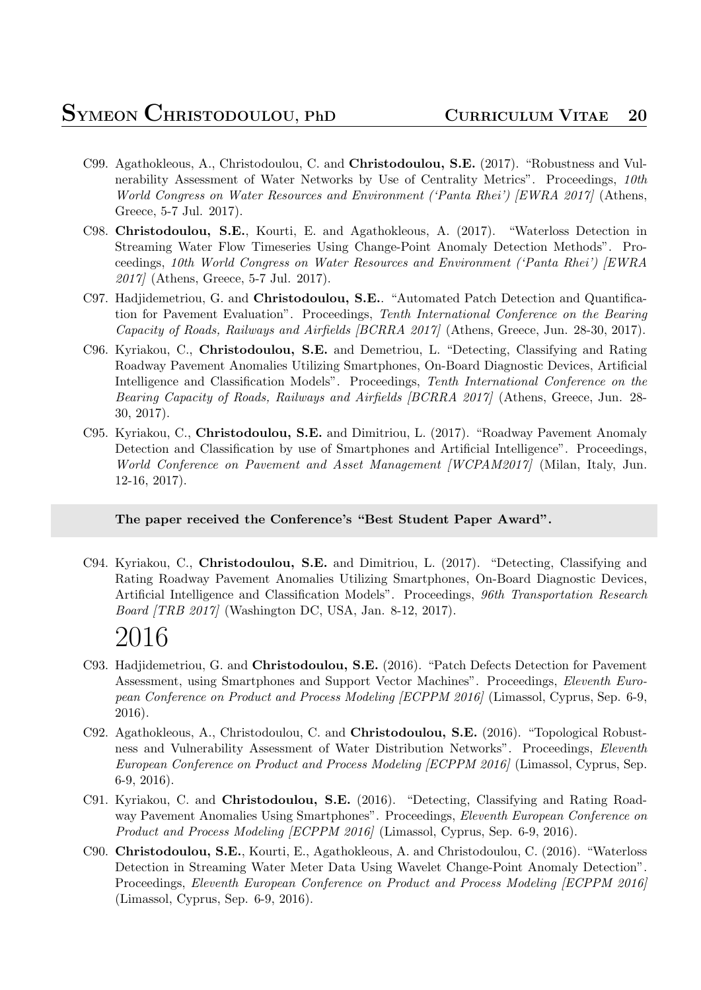- C99. Agathokleous, A., Christodoulou, C. and **Christodoulou, S.E.** (2017). "Robustness and Vulnerability Assessment of Water Networks by Use of Centrality Metrics". Proceedings, *10th World Congress on Water Resources and Environment ('Panta Rhei') [EWRA 2017]* (Athens, Greece, 5-7 Jul. 2017).
- C98. **Christodoulou, S.E.**, Kourti, E. and Agathokleous, A. (2017). "Waterloss Detection in Streaming Water Flow Timeseries Using Change-Point Anomaly Detection Methods". Proceedings, *10th World Congress on Water Resources and Environment ('Panta Rhei') [EWRA 2017]* (Athens, Greece, 5-7 Jul. 2017).
- C97. Hadjidemetriou, G. and **Christodoulou, S.E.**. "Automated Patch Detection and Quantification for Pavement Evaluation". Proceedings, *Tenth International Conference on the Bearing Capacity of Roads, Railways and Airfields [BCRRA 2017]* (Athens, Greece, Jun. 28-30, 2017).
- C96. Kyriakou, C., **Christodoulou, S.E.** and Demetriou, L. "Detecting, Classifying and Rating Roadway Pavement Anomalies Utilizing Smartphones, On-Board Diagnostic Devices, Artificial Intelligence and Classification Models". Proceedings, *Tenth International Conference on the Bearing Capacity of Roads, Railways and Airfields [BCRRA 2017]* (Athens, Greece, Jun. 28- 30, 2017).
- C95. Kyriakou, C., **Christodoulou, S.E.** and Dimitriou, L. (2017). "Roadway Pavement Anomaly Detection and Classification by use of Smartphones and Artificial Intelligence". Proceedings, *World Conference on Pavement and Asset Management [WCPAM2017]* (Milan, Italy, Jun. 12-16, 2017).

**The paper received the Conference's "Best Student Paper Award".**

C94. Kyriakou, C., **Christodoulou, S.E.** and Dimitriou, L. (2017). "Detecting, Classifying and Rating Roadway Pavement Anomalies Utilizing Smartphones, On-Board Diagnostic Devices, Artificial Intelligence and Classification Models". Proceedings, *96th Transportation Research Board [TRB 2017]* (Washington DC, USA, Jan. 8-12, 2017).

- C93. Hadjidemetriou, G. and **Christodoulou, S.E.** (2016). "Patch Defects Detection for Pavement Assessment, using Smartphones and Support Vector Machines". Proceedings, *Eleventh European Conference on Product and Process Modeling [ECPPM 2016]* (Limassol, Cyprus, Sep. 6-9, 2016).
- C92. Agathokleous, A., Christodoulou, C. and **Christodoulou, S.E.** (2016). "Topological Robustness and Vulnerability Assessment of Water Distribution Networks". Proceedings, *Eleventh European Conference on Product and Process Modeling [ECPPM 2016]* (Limassol, Cyprus, Sep. 6-9, 2016).
- C91. Kyriakou, C. and **Christodoulou, S.E.** (2016). "Detecting, Classifying and Rating Roadway Pavement Anomalies Using Smartphones". Proceedings, *Eleventh European Conference on Product and Process Modeling [ECPPM 2016]* (Limassol, Cyprus, Sep. 6-9, 2016).
- C90. **Christodoulou, S.E.**, Kourti, E., Agathokleous, A. and Christodoulou, C. (2016). "Waterloss Detection in Streaming Water Meter Data Using Wavelet Change-Point Anomaly Detection". Proceedings, *Eleventh European Conference on Product and Process Modeling [ECPPM 2016]* (Limassol, Cyprus, Sep. 6-9, 2016).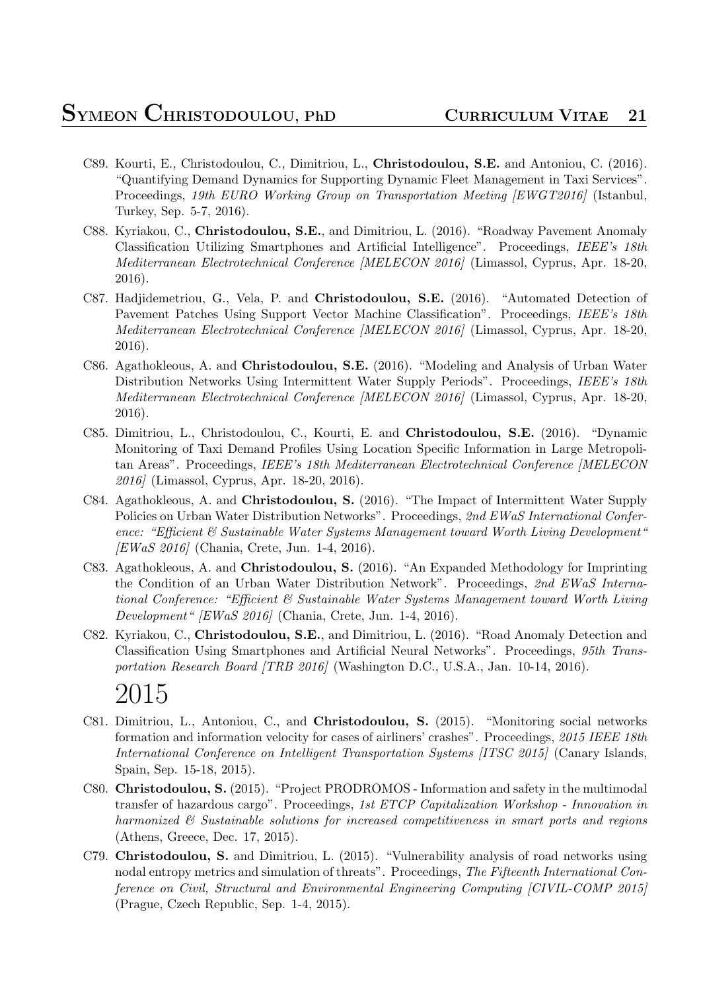- C89. Kourti, E., Christodoulou, C., Dimitriou, L., **Christodoulou, S.E.** and Antoniou, C. (2016). "Quantifying Demand Dynamics for Supporting Dynamic Fleet Management in Taxi Services". Proceedings, *19th EURO Working Group on Transportation Meeting [EWGT2016]* (Istanbul, Turkey, Sep. 5-7, 2016).
- C88. Kyriakou, C., **Christodoulou, S.E.**, and Dimitriou, L. (2016). "Roadway Pavement Anomaly Classification Utilizing Smartphones and Artificial Intelligence". Proceedings, *IEEE's 18th Mediterranean Electrotechnical Conference [MELECON 2016]* (Limassol, Cyprus, Apr. 18-20, 2016).
- C87. Hadjidemetriou, G., Vela, P. and **Christodoulou, S.E.** (2016). "Automated Detection of Pavement Patches Using Support Vector Machine Classification". Proceedings, *IEEE's 18th Mediterranean Electrotechnical Conference [MELECON 2016]* (Limassol, Cyprus, Apr. 18-20, 2016).
- C86. Agathokleous, A. and **Christodoulou, S.E.** (2016). "Modeling and Analysis of Urban Water Distribution Networks Using Intermittent Water Supply Periods". Proceedings, *IEEE's 18th Mediterranean Electrotechnical Conference [MELECON 2016]* (Limassol, Cyprus, Apr. 18-20, 2016).
- C85. Dimitriou, L., Christodoulou, C., Kourti, E. and **Christodoulou, S.E.** (2016). "Dynamic Monitoring of Taxi Demand Profiles Using Location Specific Information in Large Metropolitan Areas". Proceedings, *IEEE's 18th Mediterranean Electrotechnical Conference [MELECON 2016]* (Limassol, Cyprus, Apr. 18-20, 2016).
- C84. Agathokleous, A. and **Christodoulou, S.** (2016). "The Impact of Intermittent Water Supply Policies on Urban Water Distribution Networks". Proceedings, *2nd EWaS International Conference: "Efficient & Sustainable Water Systems Management toward Worth Living Development" [EWaS 2016]* (Chania, Crete, Jun. 1-4, 2016).
- C83. Agathokleous, A. and **Christodoulou, S.** (2016). "An Expanded Methodology for Imprinting the Condition of an Urban Water Distribution Network". Proceedings, *2nd EWaS International Conference: "Efficient & Sustainable Water Systems Management toward Worth Living Development" [EWaS 2016]* (Chania, Crete, Jun. 1-4, 2016).
- C82. Kyriakou, C., **Christodoulou, S.E.**, and Dimitriou, L. (2016). "Road Anomaly Detection and Classification Using Smartphones and Artificial Neural Networks". Proceedings, *95th Transportation Research Board [TRB 2016]* (Washington D.C., U.S.A., Jan. 10-14, 2016).

- C81. Dimitriou, L., Antoniou, C., and **Christodoulou, S.** (2015). "Monitoring social networks formation and information velocity for cases of airliners' crashes". Proceedings, *2015 IEEE 18th International Conference on Intelligent Transportation Systems [ITSC 2015]* (Canary Islands, Spain, Sep. 15-18, 2015).
- C80. **Christodoulou, S.** (2015). "Project PRODROMOS Information and safety in the multimodal transfer of hazardous cargo". Proceedings, *1st ETCP Capitalization Workshop - Innovation in harmonized & Sustainable solutions for increased competitiveness in smart ports and regions* (Athens, Greece, Dec. 17, 2015).
- C79. **Christodoulou, S.** and Dimitriou, L. (2015). "Vulnerability analysis of road networks using nodal entropy metrics and simulation of threats". Proceedings, *The Fifteenth International Conference on Civil, Structural and Environmental Engineering Computing [CIVIL-COMP 2015]* (Prague, Czech Republic, Sep. 1-4, 2015).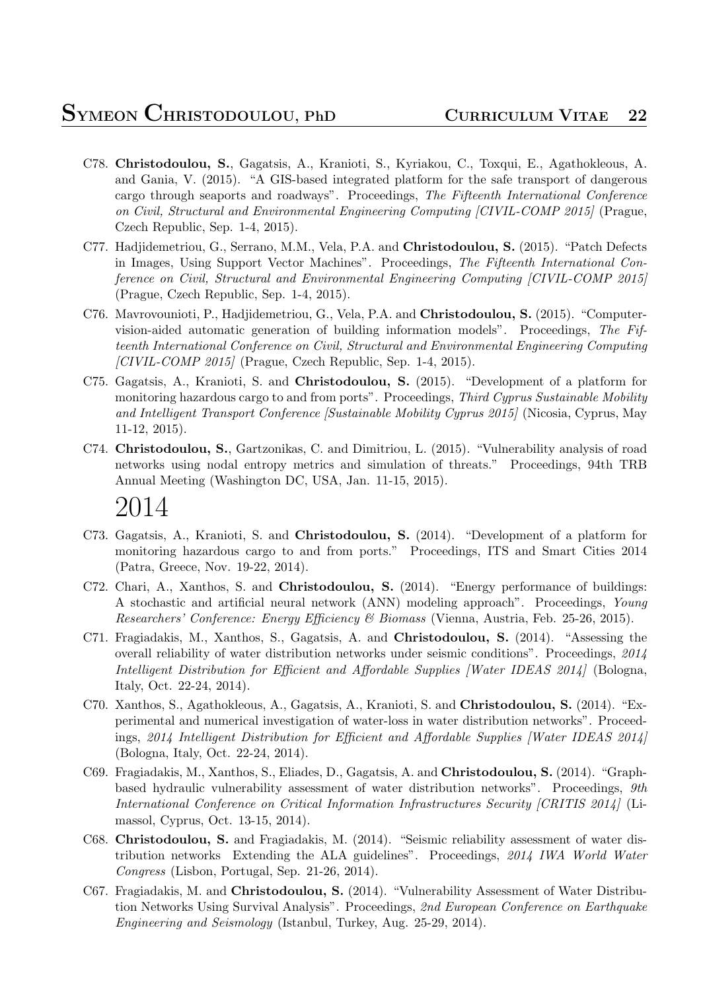- C78. **Christodoulou, S.**, Gagatsis, A., Kranioti, S., Kyriakou, C., Toxqui, E., Agathokleous, A. and Gania, V. (2015). "A GIS-based integrated platform for the safe transport of dangerous cargo through seaports and roadways". Proceedings, *The Fifteenth International Conference on Civil, Structural and Environmental Engineering Computing [CIVIL-COMP 2015]* (Prague, Czech Republic, Sep. 1-4, 2015).
- C77. Hadjidemetriou, G., Serrano, M.M., Vela, P.A. and **Christodoulou, S.** (2015). "Patch Defects in Images, Using Support Vector Machines". Proceedings, *The Fifteenth International Conference on Civil, Structural and Environmental Engineering Computing [CIVIL-COMP 2015]* (Prague, Czech Republic, Sep. 1-4, 2015).
- C76. Mavrovounioti, P., Hadjidemetriou, G., Vela, P.A. and **Christodoulou, S.** (2015). "Computervision-aided automatic generation of building information models". Proceedings, *The Fifteenth International Conference on Civil, Structural and Environmental Engineering Computing [CIVIL-COMP 2015]* (Prague, Czech Republic, Sep. 1-4, 2015).
- C75. Gagatsis, A., Kranioti, S. and **Christodoulou, S.** (2015). "Development of a platform for monitoring hazardous cargo to and from ports". Proceedings, *Third Cyprus Sustainable Mobility and Intelligent Transport Conference [Sustainable Mobility Cyprus 2015]* (Nicosia, Cyprus, May 11-12, 2015).
- C74. **Christodoulou, S.**, Gartzonikas, C. and Dimitriou, L. (2015). "Vulnerability analysis of road networks using nodal entropy metrics and simulation of threats." Proceedings, 94th TRB Annual Meeting (Washington DC, USA, Jan. 11-15, 2015).

- C73. Gagatsis, A., Kranioti, S. and **Christodoulou, S.** (2014). "Development of a platform for monitoring hazardous cargo to and from ports." Proceedings, ITS and Smart Cities 2014 (Patra, Greece, Nov. 19-22, 2014).
- C72. Chari, A., Xanthos, S. and **Christodoulou, S.** (2014). "Energy performance of buildings: A stochastic and artificial neural network (ANN) modeling approach". Proceedings, *Young Researchers' Conference: Energy Efficiency & Biomass* (Vienna, Austria, Feb. 25-26, 2015).
- C71. Fragiadakis, M., Xanthos, S., Gagatsis, A. and **Christodoulou, S.** (2014). "Assessing the overall reliability of water distribution networks under seismic conditions". Proceedings, *2014 Intelligent Distribution for Efficient and Affordable Supplies [Water IDEAS 2014]* (Bologna, Italy, Oct. 22-24, 2014).
- C70. Xanthos, S., Agathokleous, A., Gagatsis, A., Kranioti, S. and **Christodoulou, S.** (2014). "Experimental and numerical investigation of water-loss in water distribution networks". Proceedings, *2014 Intelligent Distribution for Efficient and Affordable Supplies [Water IDEAS 2014]* (Bologna, Italy, Oct. 22-24, 2014).
- C69. Fragiadakis, M., Xanthos, S., Eliades, D., Gagatsis, A. and **Christodoulou, S.** (2014). "Graphbased hydraulic vulnerability assessment of water distribution networks". Proceedings, *9th International Conference on Critical Information Infrastructures Security [CRITIS 2014]* (Limassol, Cyprus, Oct. 13-15, 2014).
- C68. **Christodoulou, S.** and Fragiadakis, M. (2014). "Seismic reliability assessment of water distribution networks Extending the ALA guidelines". Proceedings, *2014 IWA World Water Congress* (Lisbon, Portugal, Sep. 21-26, 2014).
- C67. Fragiadakis, M. and **Christodoulou, S.** (2014). "Vulnerability Assessment of Water Distribution Networks Using Survival Analysis". Proceedings, *2nd European Conference on Earthquake Engineering and Seismology* (Istanbul, Turkey, Aug. 25-29, 2014).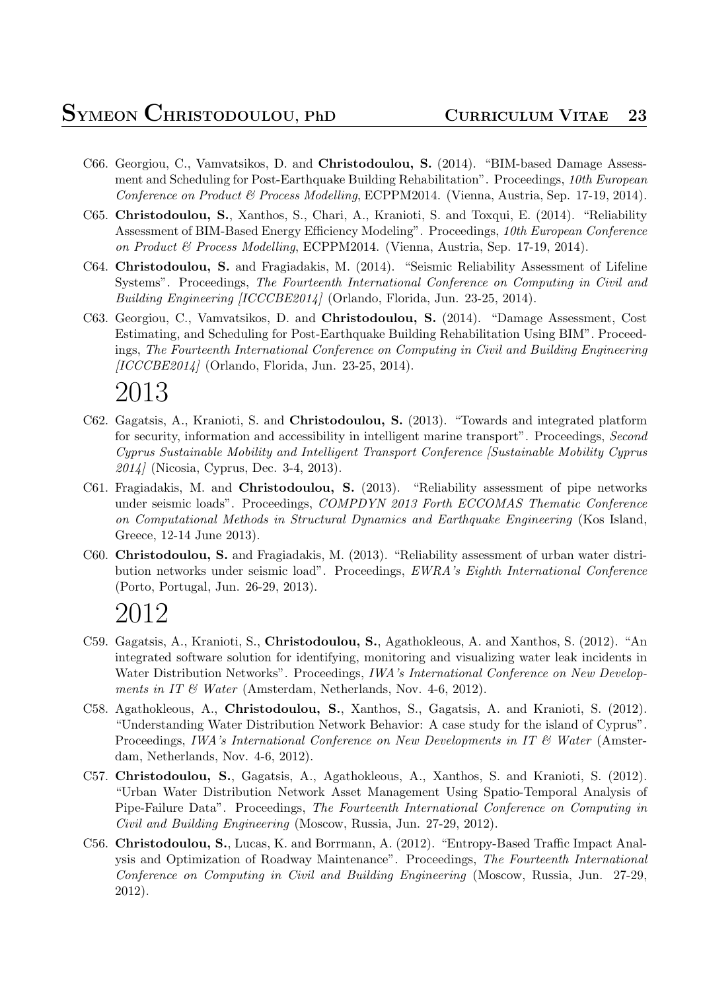- C66. Georgiou, C., Vamvatsikos, D. and **Christodoulou, S.** (2014). "BIM-based Damage Assessment and Scheduling for Post-Earthquake Building Rehabilitation". Proceedings, *10th European Conference on Product & Process Modelling*, ECPPM2014. (Vienna, Austria, Sep. 17-19, 2014).
- C65. **Christodoulou, S.**, Xanthos, S., Chari, A., Kranioti, S. and Toxqui, E. (2014). "Reliability Assessment of BIM-Based Energy Efficiency Modeling". Proceedings, *10th European Conference on Product & Process Modelling*, ECPPM2014. (Vienna, Austria, Sep. 17-19, 2014).
- C64. **Christodoulou, S.** and Fragiadakis, M. (2014). "Seismic Reliability Assessment of Lifeline Systems". Proceedings, *The Fourteenth International Conference on Computing in Civil and Building Engineering [ICCCBE2014]* (Orlando, Florida, Jun. 23-25, 2014).
- C63. Georgiou, C., Vamvatsikos, D. and **Christodoulou, S.** (2014). "Damage Assessment, Cost Estimating, and Scheduling for Post-Earthquake Building Rehabilitation Using BIM". Proceedings, *The Fourteenth International Conference on Computing in Civil and Building Engineering [ICCCBE2014]* (Orlando, Florida, Jun. 23-25, 2014).

- C62. Gagatsis, A., Kranioti, S. and **Christodoulou, S.** (2013). "Towards and integrated platform for security, information and accessibility in intelligent marine transport". Proceedings, *Second Cyprus Sustainable Mobility and Intelligent Transport Conference [Sustainable Mobility Cyprus 2014]* (Nicosia, Cyprus, Dec. 3-4, 2013).
- C61. Fragiadakis, M. and **Christodoulou, S.** (2013). "Reliability assessment of pipe networks under seismic loads". Proceedings, *COMPDYN 2013 Forth ECCOMAS Thematic Conference on Computational Methods in Structural Dynamics and Earthquake Engineering* (Kos Island, Greece, 12-14 June 2013).
- C60. **Christodoulou, S.** and Fragiadakis, M. (2013). "Reliability assessment of urban water distribution networks under seismic load". Proceedings, *EWRA's Eighth International Conference* (Porto, Portugal, Jun. 26-29, 2013).

- C59. Gagatsis, A., Kranioti, S., **Christodoulou, S.**, Agathokleous, A. and Xanthos, S. (2012). "An integrated software solution for identifying, monitoring and visualizing water leak incidents in Water Distribution Networks". Proceedings, *IWA's International Conference on New Developments in IT & Water* (Amsterdam, Netherlands, Nov. 4-6, 2012).
- C58. Agathokleous, A., **Christodoulou, S.**, Xanthos, S., Gagatsis, A. and Kranioti, S. (2012). "Understanding Water Distribution Network Behavior: A case study for the island of Cyprus". Proceedings, *IWA's International Conference on New Developments in IT & Water* (Amsterdam, Netherlands, Nov. 4-6, 2012).
- C57. **Christodoulou, S.**, Gagatsis, A., Agathokleous, A., Xanthos, S. and Kranioti, S. (2012). "Urban Water Distribution Network Asset Management Using Spatio-Temporal Analysis of Pipe-Failure Data". Proceedings, *The Fourteenth International Conference on Computing in Civil and Building Engineering* (Moscow, Russia, Jun. 27-29, 2012).
- C56. **Christodoulou, S.**, Lucas, K. and Borrmann, A. (2012). "Entropy-Based Traffic Impact Analysis and Optimization of Roadway Maintenance". Proceedings, *The Fourteenth International Conference on Computing in Civil and Building Engineering* (Moscow, Russia, Jun. 27-29, 2012).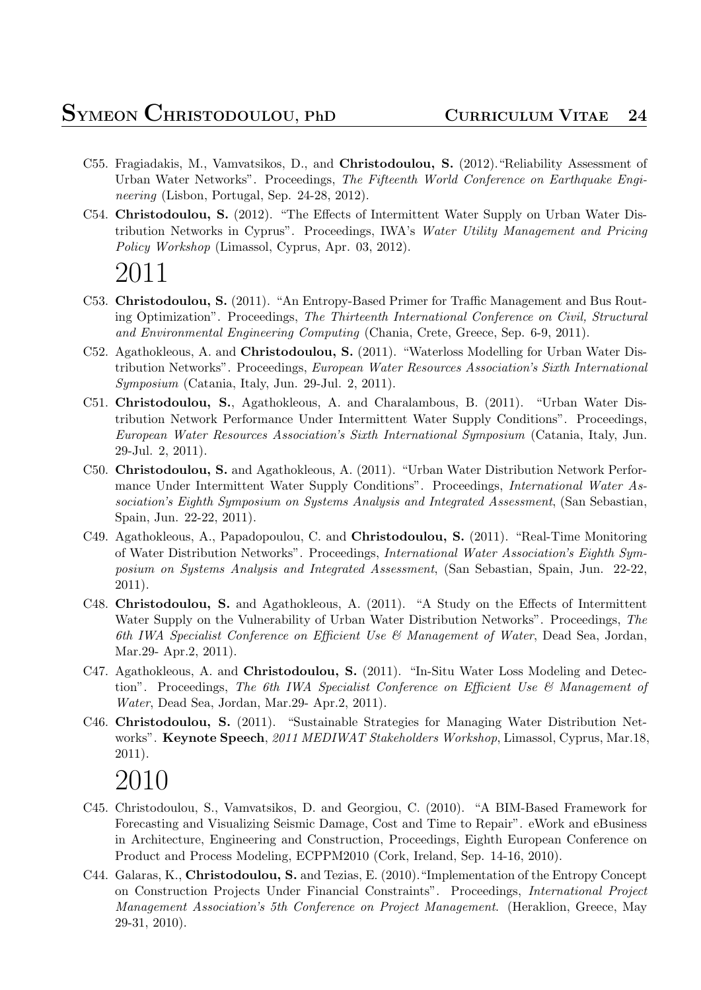- C55. Fragiadakis, M., Vamvatsikos, D., and **Christodoulou, S.** (2012)."Reliability Assessment of Urban Water Networks". Proceedings, *The Fifteenth World Conference on Earthquake Engineering* (Lisbon, Portugal, Sep. 24-28, 2012).
- C54. **Christodoulou, S.** (2012). "The Effects of Intermittent Water Supply on Urban Water Distribution Networks in Cyprus". Proceedings, IWA's *Water Utility Management and Pricing Policy Workshop* (Limassol, Cyprus, Apr. 03, 2012).

- C53. **Christodoulou, S.** (2011). "An Entropy-Based Primer for Traffic Management and Bus Routing Optimization". Proceedings, *The Thirteenth International Conference on Civil, Structural and Environmental Engineering Computing* (Chania, Crete, Greece, Sep. 6-9, 2011).
- C52. Agathokleous, A. and **Christodoulou, S.** (2011). "Waterloss Modelling for Urban Water Distribution Networks". Proceedings, *European Water Resources Association's Sixth International Symposium* (Catania, Italy, Jun. 29-Jul. 2, 2011).
- C51. **Christodoulou, S.**, Agathokleous, A. and Charalambous, B. (2011). "Urban Water Distribution Network Performance Under Intermittent Water Supply Conditions". Proceedings, *European Water Resources Association's Sixth International Symposium* (Catania, Italy, Jun. 29-Jul. 2, 2011).
- C50. **Christodoulou, S.** and Agathokleous, A. (2011). "Urban Water Distribution Network Performance Under Intermittent Water Supply Conditions". Proceedings, *International Water Association's Eighth Symposium on Systems Analysis and Integrated Assessment*, (San Sebastian, Spain, Jun. 22-22, 2011).
- C49. Agathokleous, A., Papadopoulou, C. and **Christodoulou, S.** (2011). "Real-Time Monitoring of Water Distribution Networks". Proceedings, *International Water Association's Eighth Symposium on Systems Analysis and Integrated Assessment*, (San Sebastian, Spain, Jun. 22-22, 2011).
- C48. **Christodoulou, S.** and Agathokleous, A. (2011). "A Study on the Effects of Intermittent Water Supply on the Vulnerability of Urban Water Distribution Networks". Proceedings, *The 6th IWA Specialist Conference on Efficient Use & Management of Water*, Dead Sea, Jordan, Mar.29- Apr.2, 2011).
- C47. Agathokleous, A. and **Christodoulou, S.** (2011). "In-Situ Water Loss Modeling and Detection". Proceedings, *The 6th IWA Specialist Conference on Efficient Use & Management of Water*, Dead Sea, Jordan, Mar.29- Apr.2, 2011).
- C46. **Christodoulou, S.** (2011). "Sustainable Strategies for Managing Water Distribution Networks". **Keynote Speech**, *2011 MEDIWAT Stakeholders Workshop*, Limassol, Cyprus, Mar.18, 2011).

- C45. Christodoulou, S., Vamvatsikos, D. and Georgiou, C. (2010). "A BIM-Based Framework for Forecasting and Visualizing Seismic Damage, Cost and Time to Repair". eWork and eBusiness in Architecture, Engineering and Construction, Proceedings, Eighth European Conference on Product and Process Modeling, ECPPM2010 (Cork, Ireland, Sep. 14-16, 2010).
- C44. Galaras, K., **Christodoulou, S.** and Tezias, E. (2010)."Implementation of the Entropy Concept on Construction Projects Under Financial Constraints". Proceedings, *International Project Management Association's 5th Conference on Project Management*. (Heraklion, Greece, May 29-31, 2010).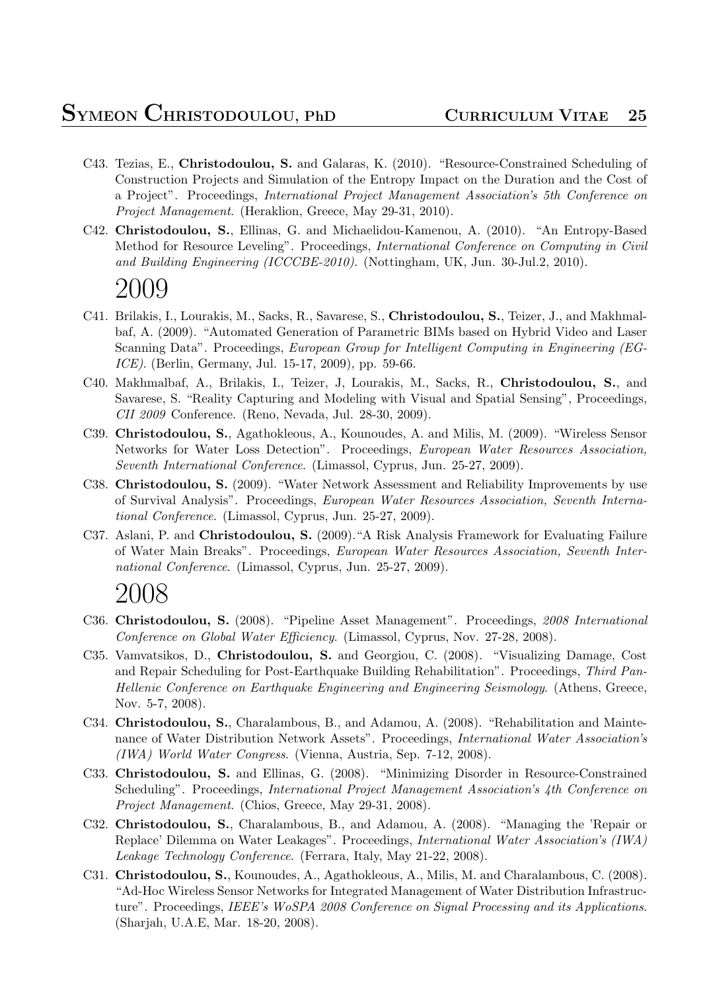- C43. Tezias, E., **Christodoulou, S.** and Galaras, K. (2010). "Resource-Constrained Scheduling of Construction Projects and Simulation of the Entropy Impact on the Duration and the Cost of a Project". Proceedings, *International Project Management Association's 5th Conference on Project Management*. (Heraklion, Greece, May 29-31, 2010).
- C42. **Christodoulou, S.**, Ellinas, G. and Michaelidou-Kamenou, A. (2010). "An Entropy-Based Method for Resource Leveling". Proceedings, *International Conference on Computing in Civil and Building Engineering (ICCCBE-2010)*. (Nottingham, UK, Jun. 30-Jul.2, 2010).

- C41. Brilakis, I., Lourakis, M., Sacks, R., Savarese, S., **Christodoulou, S.**, Teizer, J., and Makhmalbaf, A. (2009). "Automated Generation of Parametric BIMs based on Hybrid Video and Laser Scanning Data". Proceedings, *European Group for Intelligent Computing in Engineering (EG-ICE)*. (Berlin, Germany, Jul. 15-17, 2009), pp. 59-66.
- C40. Makhmalbaf, A., Brilakis, I., Teizer, J, Lourakis, M., Sacks, R., **Christodoulou, S.**, and Savarese, S. "Reality Capturing and Modeling with Visual and Spatial Sensing", Proceedings, *CII 2009* Conference. (Reno, Nevada, Jul. 28-30, 2009).
- C39. **Christodoulou, S.**, Agathokleous, A., Kounoudes, A. and Milis, M. (2009). "Wireless Sensor Networks for Water Loss Detection". Proceedings, *European Water Resources Association, Seventh International Conference*. (Limassol, Cyprus, Jun. 25-27, 2009).
- C38. **Christodoulou, S.** (2009). "Water Network Assessment and Reliability Improvements by use of Survival Analysis". Proceedings, *European Water Resources Association, Seventh International Conference*. (Limassol, Cyprus, Jun. 25-27, 2009).
- C37. Aslani, P. and **Christodoulou, S.** (2009)."A Risk Analysis Framework for Evaluating Failure of Water Main Breaks". Proceedings, *European Water Resources Association, Seventh International Conference*. (Limassol, Cyprus, Jun. 25-27, 2009).

- C36. **Christodoulou, S.** (2008). "Pipeline Asset Management". Proceedings, *2008 International Conference on Global Water Efficiency*. (Limassol, Cyprus, Nov. 27-28, 2008).
- C35. Vamvatsikos, D., **Christodoulou, S.** and Georgiou, C. (2008). "Visualizing Damage, Cost and Repair Scheduling for Post-Earthquake Building Rehabilitation". Proceedings, *Third Pan-Hellenic Conference on Earthquake Engineering and Engineering Seismology*. (Athens, Greece, Nov. 5-7, 2008).
- C34. **Christodoulou, S.**, Charalambous, B., and Adamou, A. (2008). "Rehabilitation and Maintenance of Water Distribution Network Assets". Proceedings, *International Water Association's (IWA) World Water Congress*. (Vienna, Austria, Sep. 7-12, 2008).
- C33. **Christodoulou, S.** and Ellinas, G. (2008). "Minimizing Disorder in Resource-Constrained Scheduling". Proceedings, *International Project Management Association's 4th Conference on Project Management*. (Chios, Greece, May 29-31, 2008).
- C32. **Christodoulou, S.**, Charalambous, B., and Adamou, A. (2008). "Managing the 'Repair or Replace' Dilemma on Water Leakages". Proceedings, *International Water Association's (IWA) Leakage Technology Conference*. (Ferrara, Italy, May 21-22, 2008).
- C31. **Christodoulou, S.**, Kounoudes, A., Agathokleous, A., Milis, M. and Charalambous, C. (2008). "Ad-Hoc Wireless Sensor Networks for Integrated Management of Water Distribution Infrastructure". Proceedings, *IEEE's WoSPA 2008 Conference on Signal Processing and its Applications*. (Sharjah, U.A.E, Mar. 18-20, 2008).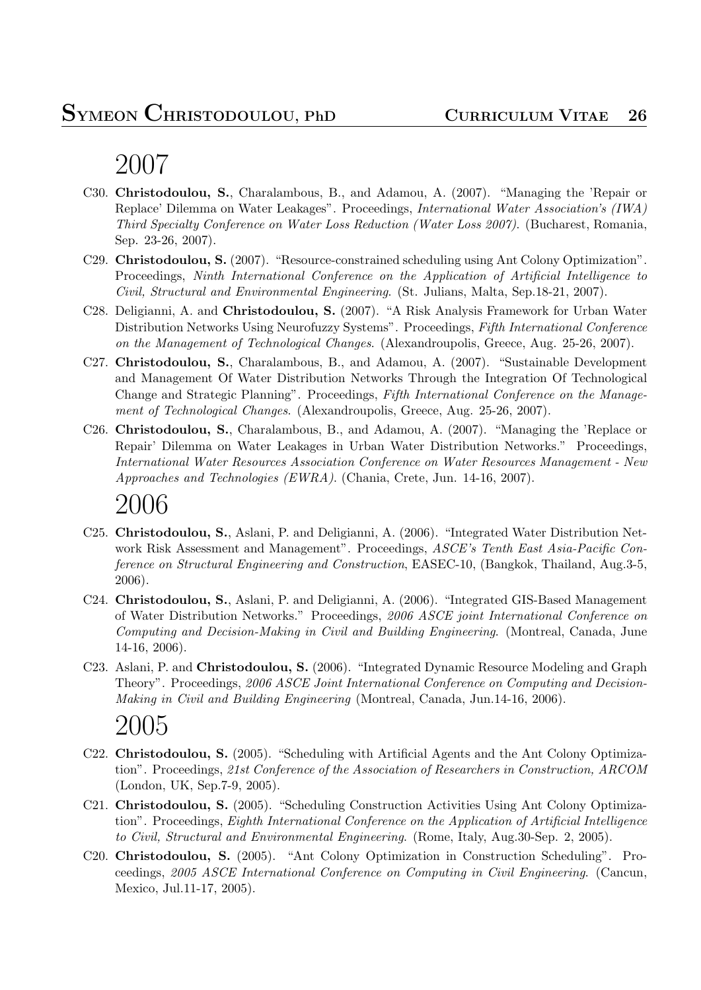- C30. **Christodoulou, S.**, Charalambous, B., and Adamou, A. (2007). "Managing the 'Repair or Replace' Dilemma on Water Leakages". Proceedings, *International Water Association's (IWA) Third Specialty Conference on Water Loss Reduction (Water Loss 2007)*. (Bucharest, Romania, Sep. 23-26, 2007).
- C29. **Christodoulou, S.** (2007). "Resource-constrained scheduling using Ant Colony Optimization". Proceedings, *Ninth International Conference on the Application of Artificial Intelligence to Civil, Structural and Environmental Engineering*. (St. Julians, Malta, Sep.18-21, 2007).
- C28. Deligianni, A. and **Christodoulou, S.** (2007). "A Risk Analysis Framework for Urban Water Distribution Networks Using Neurofuzzy Systems". Proceedings, *Fifth International Conference on the Management of Technological Changes*. (Alexandroupolis, Greece, Aug. 25-26, 2007).
- C27. **Christodoulou, S.**, Charalambous, B., and Adamou, A. (2007). "Sustainable Development and Management Of Water Distribution Networks Through the Integration Of Technological Change and Strategic Planning". Proceedings, *Fifth International Conference on the Management of Technological Changes*. (Alexandroupolis, Greece, Aug. 25-26, 2007).
- C26. **Christodoulou, S.**, Charalambous, B., and Adamou, A. (2007). "Managing the 'Replace or Repair' Dilemma on Water Leakages in Urban Water Distribution Networks." Proceedings, *International Water Resources Association Conference on Water Resources Management - New Approaches and Technologies (EWRA)*. (Chania, Crete, Jun. 14-16, 2007).

# 2006

- C25. **Christodoulou, S.**, Aslani, P. and Deligianni, A. (2006). "Integrated Water Distribution Network Risk Assessment and Management". Proceedings, *ASCE's Tenth East Asia-Pacific Conference on Structural Engineering and Construction*, EASEC-10, (Bangkok, Thailand, Aug.3-5, 2006).
- C24. **Christodoulou, S.**, Aslani, P. and Deligianni, A. (2006). "Integrated GIS-Based Management of Water Distribution Networks." Proceedings, *2006 ASCE joint International Conference on Computing and Decision-Making in Civil and Building Engineering*. (Montreal, Canada, June 14-16, 2006).
- C23. Aslani, P. and **Christodoulou, S.** (2006). "Integrated Dynamic Resource Modeling and Graph Theory". Proceedings, *2006 ASCE Joint International Conference on Computing and Decision-Making in Civil and Building Engineering* (Montreal, Canada, Jun.14-16, 2006).

- C22. **Christodoulou, S.** (2005). "Scheduling with Artificial Agents and the Ant Colony Optimization". Proceedings, *21st Conference of the Association of Researchers in Construction, ARCOM* (London, UK, Sep.7-9, 2005).
- C21. **Christodoulou, S.** (2005). "Scheduling Construction Activities Using Ant Colony Optimization". Proceedings, *Eighth International Conference on the Application of Artificial Intelligence to Civil, Structural and Environmental Engineering*. (Rome, Italy, Aug.30-Sep. 2, 2005).
- C20. **Christodoulou, S.** (2005). "Ant Colony Optimization in Construction Scheduling". Proceedings, *2005 ASCE International Conference on Computing in Civil Engineering*. (Cancun, Mexico, Jul.11-17, 2005).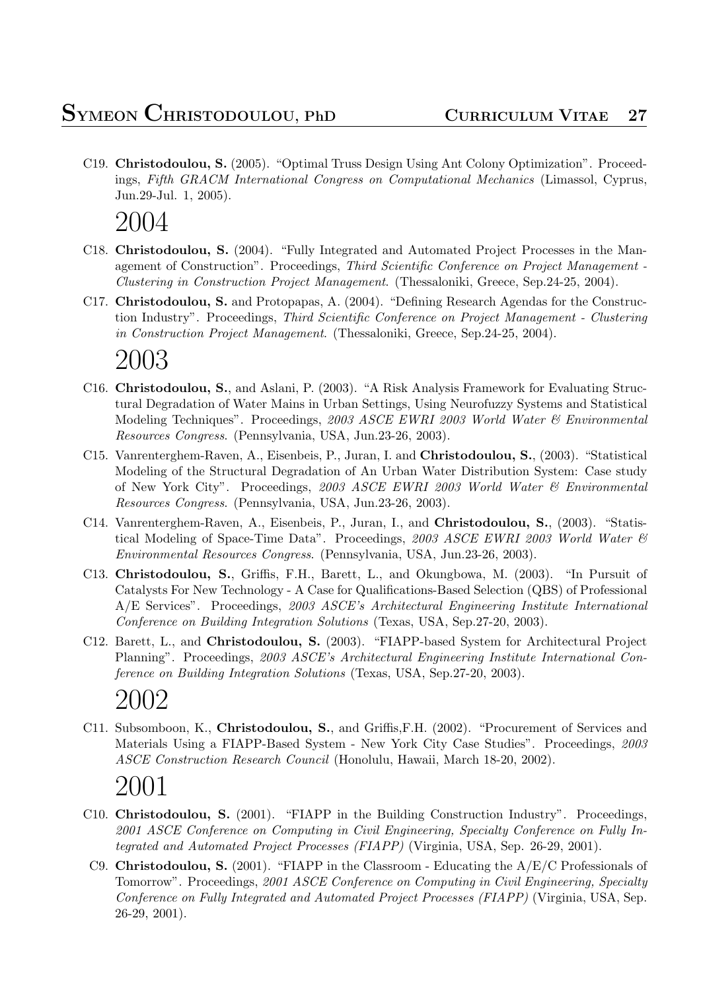C19. **Christodoulou, S.** (2005). "Optimal Truss Design Using Ant Colony Optimization". Proceedings, *Fifth GRACM International Congress on Computational Mechanics* (Limassol, Cyprus, Jun.29-Jul. 1, 2005).

### 2004

- C18. **Christodoulou, S.** (2004). "Fully Integrated and Automated Project Processes in the Management of Construction". Proceedings, *Third Scientific Conference on Project Management - Clustering in Construction Project Management*. (Thessaloniki, Greece, Sep.24-25, 2004).
- C17. **Christodoulou, S.** and Protopapas, A. (2004). "Defining Research Agendas for the Construction Industry". Proceedings, *Third Scientific Conference on Project Management - Clustering in Construction Project Management*. (Thessaloniki, Greece, Sep.24-25, 2004).

# 2003

- C16. **Christodoulou, S.**, and Aslani, P. (2003). "A Risk Analysis Framework for Evaluating Structural Degradation of Water Mains in Urban Settings, Using Neurofuzzy Systems and Statistical Modeling Techniques". Proceedings, *2003 ASCE EWRI 2003 World Water & Environmental Resources Congress*. (Pennsylvania, USA, Jun.23-26, 2003).
- C15. Vanrenterghem-Raven, A., Eisenbeis, P., Juran, I. and **Christodoulou, S.**, (2003). "Statistical Modeling of the Structural Degradation of An Urban Water Distribution System: Case study of New York City". Proceedings, *2003 ASCE EWRI 2003 World Water & Environmental Resources Congress*. (Pennsylvania, USA, Jun.23-26, 2003).
- C14. Vanrenterghem-Raven, A., Eisenbeis, P., Juran, I., and **Christodoulou, S.**, (2003). "Statistical Modeling of Space-Time Data". Proceedings, *2003 ASCE EWRI 2003 World Water & Environmental Resources Congress*. (Pennsylvania, USA, Jun.23-26, 2003).
- C13. **Christodoulou, S.**, Griffis, F.H., Barett, L., and Okungbowa, M. (2003). "In Pursuit of Catalysts For New Technology - A Case for Qualifications-Based Selection (QBS) of Professional A/E Services". Proceedings, *2003 ASCE's Architectural Engineering Institute International Conference on Building Integration Solutions* (Texas, USA, Sep.27-20, 2003).
- C12. Barett, L., and **Christodoulou, S.** (2003). "FIAPP-based System for Architectural Project Planning". Proceedings, *2003 ASCE's Architectural Engineering Institute International Conference on Building Integration Solutions* (Texas, USA, Sep.27-20, 2003).

# 2002

C11. Subsomboon, K., **Christodoulou, S.**, and Griffis,F.H. (2002). "Procurement of Services and Materials Using a FIAPP-Based System - New York City Case Studies". Proceedings, *2003 ASCE Construction Research Council* (Honolulu, Hawaii, March 18-20, 2002).

- C10. **Christodoulou, S.** (2001). "FIAPP in the Building Construction Industry". Proceedings, *2001 ASCE Conference on Computing in Civil Engineering, Specialty Conference on Fully Integrated and Automated Project Processes (FIAPP)* (Virginia, USA, Sep. 26-29, 2001).
	- C9. **Christodoulou, S.** (2001). "FIAPP in the Classroom Educating the A/E/C Professionals of Tomorrow". Proceedings, *2001 ASCE Conference on Computing in Civil Engineering, Specialty Conference on Fully Integrated and Automated Project Processes (FIAPP)* (Virginia, USA, Sep. 26-29, 2001).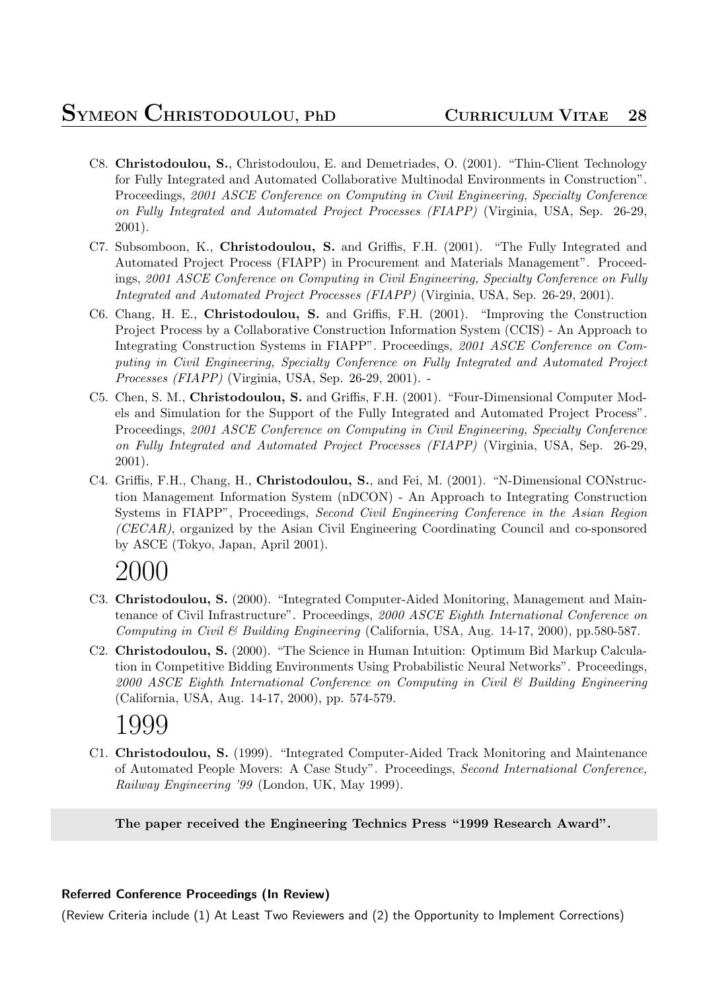- C8. **Christodoulou, S.**, Christodoulou, E. and Demetriades, O. (2001). "Thin-Client Technology for Fully Integrated and Automated Collaborative Multinodal Environments in Construction". Proceedings, *2001 ASCE Conference on Computing in Civil Engineering, Specialty Conference on Fully Integrated and Automated Project Processes (FIAPP)* (Virginia, USA, Sep. 26-29, 2001).
- C7. Subsomboon, K., **Christodoulou, S.** and Griffis, F.H. (2001). "The Fully Integrated and Automated Project Process (FIAPP) in Procurement and Materials Management". Proceedings, *2001 ASCE Conference on Computing in Civil Engineering, Specialty Conference on Fully Integrated and Automated Project Processes (FIAPP)* (Virginia, USA, Sep. 26-29, 2001).
- C6. Chang, H. E., **Christodoulou, S.** and Griffis, F.H. (2001). "Improving the Construction Project Process by a Collaborative Construction Information System (CCIS) - An Approach to Integrating Construction Systems in FIAPP". Proceedings, *2001 ASCE Conference on Computing in Civil Engineering, Specialty Conference on Fully Integrated and Automated Project Processes (FIAPP)* (Virginia, USA, Sep. 26-29, 2001). -
- C5. Chen, S. M., **Christodoulou, S.** and Griffis, F.H. (2001). "Four-Dimensional Computer Models and Simulation for the Support of the Fully Integrated and Automated Project Process". Proceedings, *2001 ASCE Conference on Computing in Civil Engineering, Specialty Conference on Fully Integrated and Automated Project Processes (FIAPP)* (Virginia, USA, Sep. 26-29, 2001).
- C4. Griffis, F.H., Chang, H., **Christodoulou, S.**, and Fei, M. (2001). "N-Dimensional CONstruction Management Information System (nDCON) - An Approach to Integrating Construction Systems in FIAPP", Proceedings, *Second Civil Engineering Conference in the Asian Region (CECAR)*, organized by the Asian Civil Engineering Coordinating Council and co-sponsored by ASCE (Tokyo, Japan, April 2001).

- C3. **Christodoulou, S.** (2000). "Integrated Computer-Aided Monitoring, Management and Maintenance of Civil Infrastructure". Proceedings, *2000 ASCE Eighth International Conference on Computing in Civil & Building Engineering* (California, USA, Aug. 14-17, 2000), pp.580-587.
- C2. **Christodoulou, S.** (2000). "The Science in Human Intuition: Optimum Bid Markup Calculation in Competitive Bidding Environments Using Probabilistic Neural Networks". Proceedings, *2000 ASCE Eighth International Conference on Computing in Civil & Building Engineering* (California, USA, Aug. 14-17, 2000), pp. 574-579.

# 1999

C1. **Christodoulou, S.** (1999). "Integrated Computer-Aided Track Monitoring and Maintenance of Automated People Movers: A Case Study". Proceedings, *Second International Conference, Railway Engineering '99* (London, UK, May 1999).

**The paper received the Engineering Technics Press "1999 Research Award".**

### **Referred Conference Proceedings (In Review)**

(Review Criteria include (1) At Least Two Reviewers and (2) the Opportunity to Implement Corrections)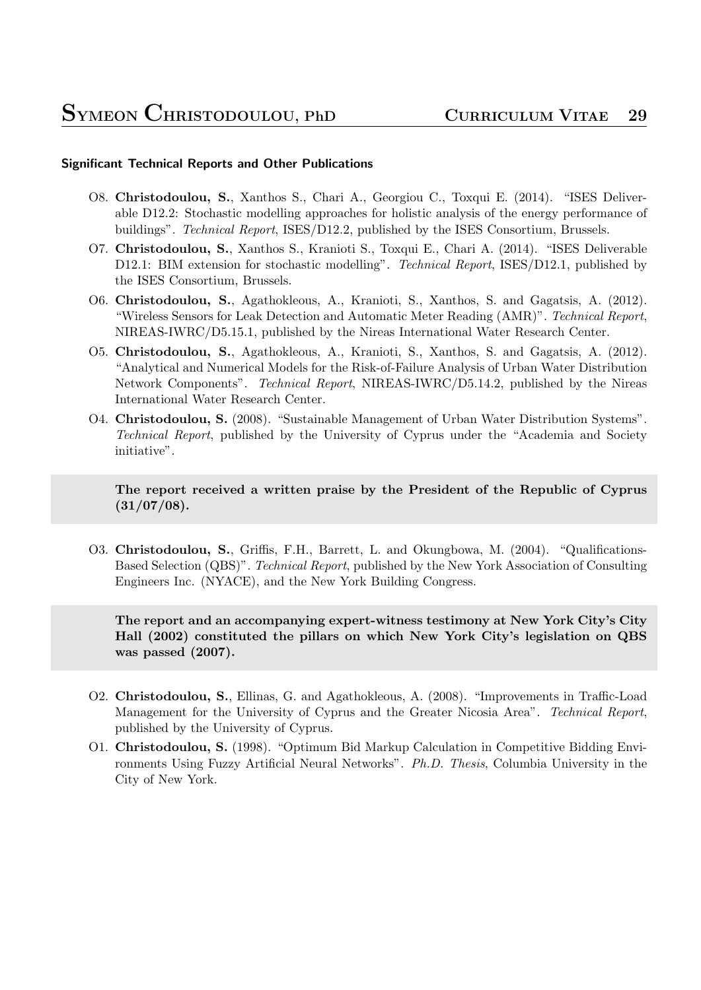#### **Significant Technical Reports and Other Publications**

- O8. **Christodoulou, S.**, Xanthos S., Chari A., Georgiou C., Toxqui E. (2014). "ISES Deliverable D12.2: Stochastic modelling approaches for holistic analysis of the energy performance of buildings". *Technical Report*, ISES/D12.2, published by the ISES Consortium, Brussels.
- O7. **Christodoulou, S.**, Xanthos S., Kranioti S., Toxqui E., Chari A. (2014). "ISES Deliverable D12.1: BIM extension for stochastic modelling". *Technical Report*, ISES/D12.1, published by the ISES Consortium, Brussels.
- O6. **Christodoulou, S.**, Agathokleous, A., Kranioti, S., Xanthos, S. and Gagatsis, A. (2012). "Wireless Sensors for Leak Detection and Automatic Meter Reading (AMR)". *Technical Report*, NIREAS-IWRC/D5.15.1, published by the Nireas International Water Research Center.
- O5. **Christodoulou, S.**, Agathokleous, A., Kranioti, S., Xanthos, S. and Gagatsis, A. (2012). "Analytical and Numerical Models for the Risk-of-Failure Analysis of Urban Water Distribution Network Components". *Technical Report*, NIREAS-IWRC/D5.14.2, published by the Nireas International Water Research Center.
- O4. **Christodoulou, S.** (2008). "Sustainable Management of Urban Water Distribution Systems". *Technical Report*, published by the University of Cyprus under the "Academia and Society initiative".

**The report received a written praise by the President of the Republic of Cyprus (31/07/08).**

O3. **Christodoulou, S.**, Griffis, F.H., Barrett, L. and Okungbowa, M. (2004). "Qualifications-Based Selection (QBS)". *Technical Report*, published by the New York Association of Consulting Engineers Inc. (NYACE), and the New York Building Congress.

**The report and an accompanying expert-witness testimony at New York City's City Hall (2002) constituted the pillars on which New York City's legislation on QBS was passed (2007).**

- O2. **Christodoulou, S.**, Ellinas, G. and Agathokleous, A. (2008). "Improvements in Traffic-Load Management for the University of Cyprus and the Greater Nicosia Area". *Technical Report*, published by the University of Cyprus.
- O1. **Christodoulou, S.** (1998). "Optimum Bid Markup Calculation in Competitive Bidding Environments Using Fuzzy Artificial Neural Networks". *Ph.D. Thesis*, Columbia University in the City of New York.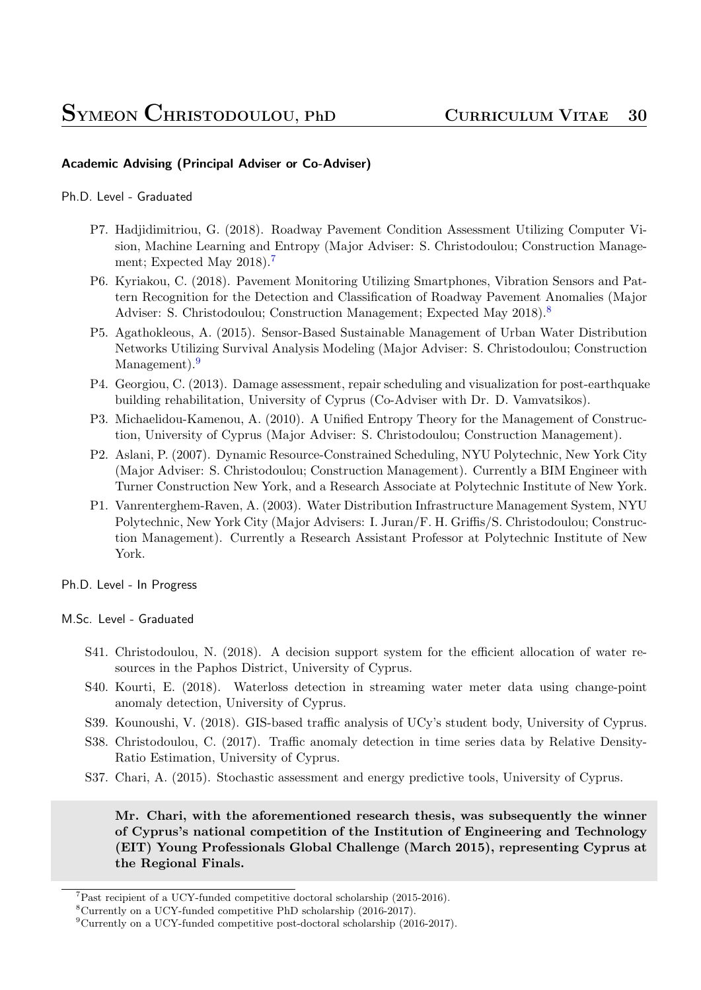### **Academic Advising (Principal Adviser or Co-Adviser)**

Ph.D. Level - Graduated

- P7. Hadjidimitriou, G. (2018). Roadway Pavement Condition Assessment Utilizing Computer Vision, Machine Learning and Entropy (Major Adviser: S. Christodoulou; Construction Management; Expected May 2018).<sup>7</sup>
- P6. Kyriakou, C. (2018). Pavement Monitoring Utilizing Smartphones, Vibration Sensors and Pattern Recognition for the Detection and Classification of Roadway Pavement Anomalies (Major Adviser: S. [C](#page-29-0)hristodoulou; Construction Management; Expected May 2018).<sup>8</sup>
- P5. Agathokleous, A. (2015). Sensor-Based Sustainable Management of Urban Water Distribution Networks Utilizing Survival Analysis Modeling (Major Adviser: S. Christodoulou; Construction Management).<sup>9</sup>
- P4. Georgiou, C. (2013). Damage assessment, repair scheduling and visualization for post-earthquake building rehabilitation, University of Cyprus (Co-Adviser with Dr. D. Vamvatsikos).
- P3. Michaelidou-[Ka](#page-29-1)menou, A. (2010). A Unified Entropy Theory for the Management of Construction, University of Cyprus (Major Adviser: S. Christodoulou; Construction Management).
- P2. Aslani, P. (2007). Dynamic Resource-Constrained Scheduling, NYU Polytechnic, New York City (Major Adviser: S. Christodoulou; Construction Management). Currently a BIM Engineer with Turner Construction New York, and a Research Associate at Polytechnic Institute of New York.
- P1. Vanrenterghem-Raven, A. (2003). Water Distribution Infrastructure Management System, NYU Polytechnic, New York City (Major Advisers: I. Juran/F. H. Griffis/S. Christodoulou; Construction Management). Currently a Research Assistant Professor at Polytechnic Institute of New York.

Ph.D. Level - In Progress

#### M.Sc. Level - Graduated

- S41. Christodoulou, N. (2018). A decision support system for the efficient allocation of water resources in the Paphos District, University of Cyprus.
- S40. Kourti, E. (2018). Waterloss detection in streaming water meter data using change-point anomaly detection, University of Cyprus.
- S39. Kounoushi, V. (2018). GIS-based traffic analysis of UCy's student body, University of Cyprus.
- S38. Christodoulou, C. (2017). Traffic anomaly detection in time series data by Relative Density-Ratio Estimation, University of Cyprus.
- S37. Chari, A. (2015). Stochastic assessment and energy predictive tools, University of Cyprus.

**Mr. Chari, with the aforementioned research thesis, was subsequently the winner of Cyprus's national competition of the Institution of Engineering and Technology (EIT) Young Professionals Global Challenge (March 2015), representing Cyprus at the Regional Finals.**

 $7$ Past recipient of a UCY-funded competitive doctoral scholarship (2015-2016).

<sup>8</sup>Currently on a UCY-funded competitive PhD scholarship (2016-2017).

<span id="page-29-1"></span><span id="page-29-0"></span><sup>9</sup>Currently on a UCY-funded competitive post-doctoral scholarship (2016-2017).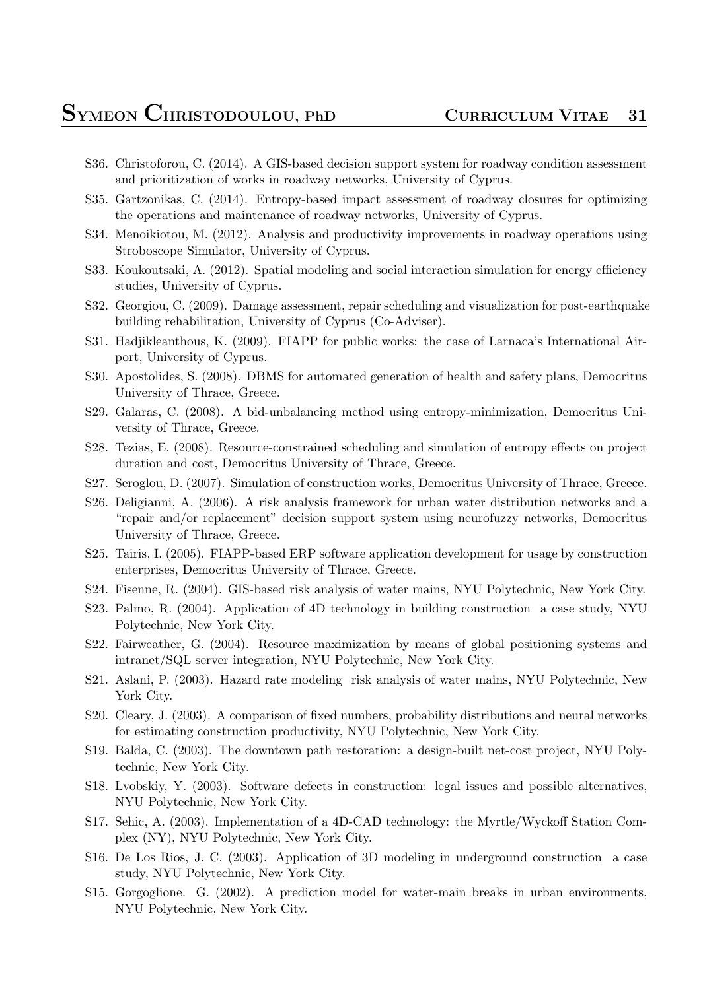- S36. Christoforou, C. (2014). A GIS-based decision support system for roadway condition assessment and prioritization of works in roadway networks, University of Cyprus.
- S35. Gartzonikas, C. (2014). Entropy-based impact assessment of roadway closures for optimizing the operations and maintenance of roadway networks, University of Cyprus.
- S34. Menoikiotou, M. (2012). Analysis and productivity improvements in roadway operations using Stroboscope Simulator, University of Cyprus.
- S33. Koukoutsaki, A. (2012). Spatial modeling and social interaction simulation for energy efficiency studies, University of Cyprus.
- S32. Georgiou, C. (2009). Damage assessment, repair scheduling and visualization for post-earthquake building rehabilitation, University of Cyprus (Co-Adviser).
- S31. Hadjikleanthous, K. (2009). FIAPP for public works: the case of Larnaca's International Airport, University of Cyprus.
- S30. Apostolides, S. (2008). DBMS for automated generation of health and safety plans, Democritus University of Thrace, Greece.
- S29. Galaras, C. (2008). A bid-unbalancing method using entropy-minimization, Democritus University of Thrace, Greece.
- S28. Tezias, E. (2008). Resource-constrained scheduling and simulation of entropy effects on project duration and cost, Democritus University of Thrace, Greece.
- S27. Seroglou, D. (2007). Simulation of construction works, Democritus University of Thrace, Greece.
- S26. Deligianni, A. (2006). A risk analysis framework for urban water distribution networks and a "repair and/or replacement" decision support system using neurofuzzy networks, Democritus University of Thrace, Greece.
- S25. Tairis, I. (2005). FIAPP-based ERP software application development for usage by construction enterprises, Democritus University of Thrace, Greece.
- S24. Fisenne, R. (2004). GIS-based risk analysis of water mains, NYU Polytechnic, New York City.
- S23. Palmo, R. (2004). Application of 4D technology in building construction a case study, NYU Polytechnic, New York City.
- S22. Fairweather, G. (2004). Resource maximization by means of global positioning systems and intranet/SQL server integration, NYU Polytechnic, New York City.
- S21. Aslani, P. (2003). Hazard rate modeling risk analysis of water mains, NYU Polytechnic, New York City.
- S20. Cleary, J. (2003). A comparison of fixed numbers, probability distributions and neural networks for estimating construction productivity, NYU Polytechnic, New York City.
- S19. Balda, C. (2003). The downtown path restoration: a design-built net-cost project, NYU Polytechnic, New York City.
- S18. Lvobskiy, Y. (2003). Software defects in construction: legal issues and possible alternatives, NYU Polytechnic, New York City.
- S17. Sehic, A. (2003). Implementation of a 4D-CAD technology: the Myrtle/Wyckoff Station Complex (NY), NYU Polytechnic, New York City.
- S16. De Los Rios, J. C. (2003). Application of 3D modeling in underground construction a case study, NYU Polytechnic, New York City.
- S15. Gorgoglione. G. (2002). A prediction model for water-main breaks in urban environments, NYU Polytechnic, New York City.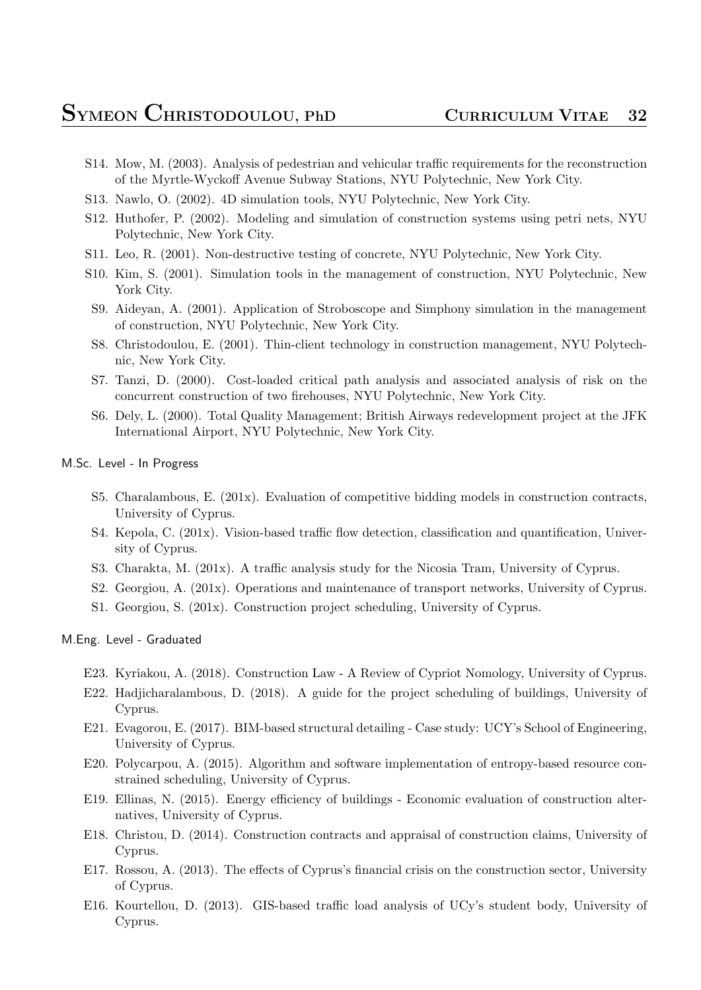- S14. Mow, M. (2003). Analysis of pedestrian and vehicular traffic requirements for the reconstruction of the Myrtle-Wyckoff Avenue Subway Stations, NYU Polytechnic, New York City.
- S13. Nawlo, O. (2002). 4D simulation tools, NYU Polytechnic, New York City.
- S12. Huthofer, P. (2002). Modeling and simulation of construction systems using petri nets, NYU Polytechnic, New York City.
- S11. Leo, R. (2001). Non-destructive testing of concrete, NYU Polytechnic, New York City.
- S10. Kim, S. (2001). Simulation tools in the management of construction, NYU Polytechnic, New York City.
- S9. Aideyan, A. (2001). Application of Stroboscope and Simphony simulation in the management of construction, NYU Polytechnic, New York City.
- S8. Christodoulou, E. (2001). Thin-client technology in construction management, NYU Polytechnic, New York City.
- S7. Tanzi, D. (2000). Cost-loaded critical path analysis and associated analysis of risk on the concurrent construction of two firehouses, NYU Polytechnic, New York City.
- S6. Dely, L. (2000). Total Quality Management; British Airways redevelopment project at the JFK International Airport, NYU Polytechnic, New York City.

#### M.Sc. Level - In Progress

- S5. Charalambous, E. (201x). Evaluation of competitive bidding models in construction contracts, University of Cyprus.
- S4. Kepola, C. (201x). Vision-based traffic flow detection, classification and quantification, University of Cyprus.
- S3. Charakta, M. (201x). A traffic analysis study for the Nicosia Tram, University of Cyprus.
- S2. Georgiou, A. (201x). Operations and maintenance of transport networks, University of Cyprus.
- S1. Georgiou, S. (201x). Construction project scheduling, University of Cyprus.

M.Eng. Level - Graduated

- E23. Kyriakou, A. (2018). Construction Law A Review of Cypriot Nomology, University of Cyprus.
- E22. Hadjicharalambous, D. (2018). A guide for the project scheduling of buildings, University of Cyprus.
- E21. Evagorou, E. (2017). BIM-based structural detailing Case study: UCY's School of Engineering, University of Cyprus.
- E20. Polycarpou, A. (2015). Algorithm and software implementation of entropy-based resource constrained scheduling, University of Cyprus.
- E19. Ellinas, N. (2015). Energy efficiency of buildings Economic evaluation of construction alternatives, University of Cyprus.
- E18. Christou, D. (2014). Construction contracts and appraisal of construction claims, University of Cyprus.
- E17. Rossou, A. (2013). The effects of Cyprus's financial crisis on the construction sector, University of Cyprus.
- E16. Kourtellou, D. (2013). GIS-based traffic load analysis of UCy's student body, University of Cyprus.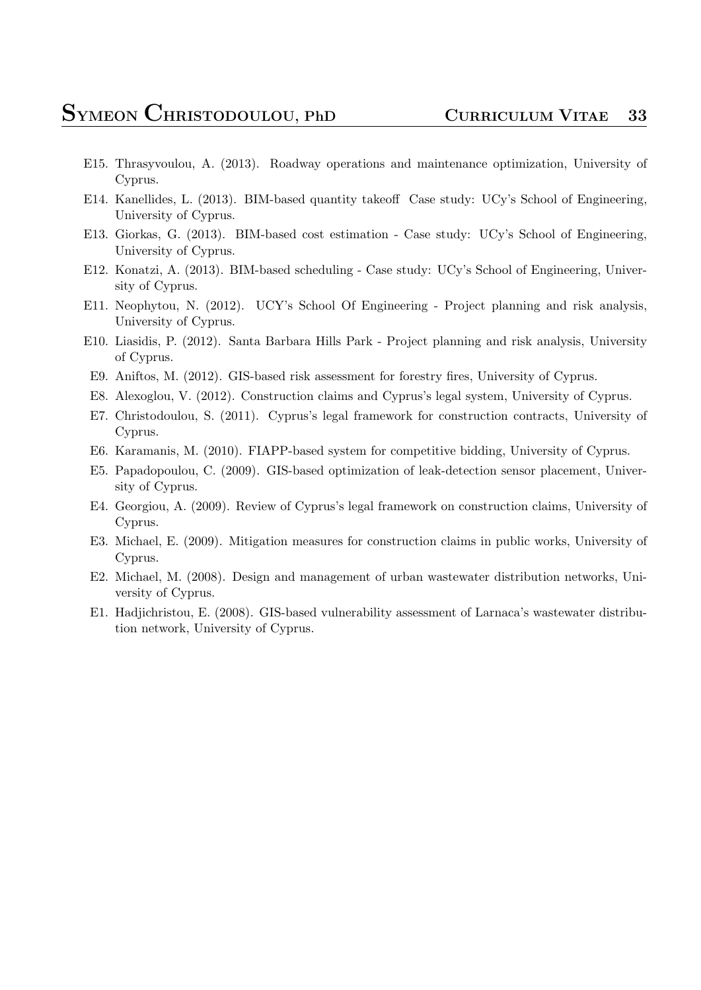- E15. Thrasyvoulou, A. (2013). Roadway operations and maintenance optimization, University of Cyprus.
- E14. Kanellides, L. (2013). BIM-based quantity takeoff Case study: UCy's School of Engineering, University of Cyprus.
- E13. Giorkas, G. (2013). BIM-based cost estimation Case study: UCy's School of Engineering, University of Cyprus.
- E12. Konatzi, A. (2013). BIM-based scheduling Case study: UCy's School of Engineering, University of Cyprus.
- E11. Neophytou, N. (2012). UCY's School Of Engineering Project planning and risk analysis, University of Cyprus.
- E10. Liasidis, P. (2012). Santa Barbara Hills Park Project planning and risk analysis, University of Cyprus.
- E9. Aniftos, M. (2012). GIS-based risk assessment for forestry fires, University of Cyprus.
- E8. Alexoglou, V. (2012). Construction claims and Cyprus's legal system, University of Cyprus.
- E7. Christodoulou, S. (2011). Cyprus's legal framework for construction contracts, University of Cyprus.
- E6. Karamanis, M. (2010). FIAPP-based system for competitive bidding, University of Cyprus.
- E5. Papadopoulou, C. (2009). GIS-based optimization of leak-detection sensor placement, University of Cyprus.
- E4. Georgiou, A. (2009). Review of Cyprus's legal framework on construction claims, University of Cyprus.
- E3. Michael, E. (2009). Mitigation measures for construction claims in public works, University of Cyprus.
- E2. Michael, M. (2008). Design and management of urban wastewater distribution networks, University of Cyprus.
- E1. Hadjichristou, E. (2008). GIS-based vulnerability assessment of Larnaca's wastewater distribution network, University of Cyprus.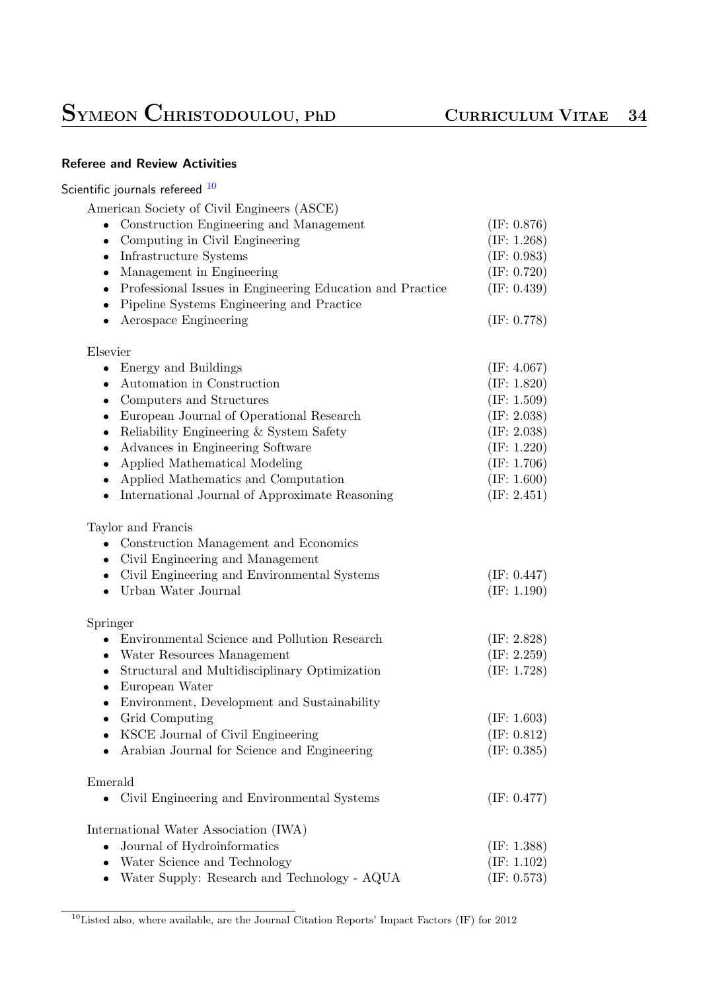### **Referee and Review Activities**

### Scientific journals refereed <sup>10</sup>

| American Society of Civil Engineers (ASCE)                                                                          |                |
|---------------------------------------------------------------------------------------------------------------------|----------------|
| • Construction Engineering and Management                                                                           | (IF: 0.876)    |
| Computing in Civil Engineering<br>$\bullet$                                                                         | (IF: 1.268)    |
| Infrastructure Systems<br>٠                                                                                         | (IF: 0.983)    |
| Management in Engineering<br>$\bullet$                                                                              | (IF: 0.720)    |
| Professional Issues in Engineering Education and Practice<br>$\bullet$<br>Pipeline Systems Engineering and Practice | (IF: 0.439)    |
| Aerospace Engineering                                                                                               | (IF: 0.778)    |
| Elsevier                                                                                                            |                |
| Energy and Buildings<br>$\bullet$                                                                                   | (E: 4.067)     |
| Automation in Construction<br>$\bullet$                                                                             | (E: 1.820)     |
| Computers and Structures<br>٠                                                                                       | (E: 1.509)     |
| European Journal of Operational Research<br>٠                                                                       | (E: 2.038)     |
| Reliability Engineering & System Safety<br>٠                                                                        | (E: 2.038)     |
| Advances in Engineering Software<br>٠                                                                               | (E: 1.220)     |
| Applied Mathematical Modeling<br>$\bullet$                                                                          | (IF: 1.706)    |
| Applied Mathematics and Computation<br>۰                                                                            | (IF: 1.600)    |
| International Journal of Approximate Reasoning                                                                      | (E: 2.451)     |
| Taylor and Francis                                                                                                  |                |
| Construction Management and Economics                                                                               |                |
| Civil Engineering and Management                                                                                    |                |
| Civil Engineering and Environmental Systems<br>٠                                                                    | (IF: 0.447)    |
| Urban Water Journal<br>$\bullet$                                                                                    | (E: 1.190)     |
|                                                                                                                     |                |
| Springer                                                                                                            |                |
| Environmental Science and Pollution Research<br>۰                                                                   | (E: 2.828)     |
| Water Resources Management<br>$\bullet$                                                                             | (E: 2.259)     |
| Structural and Multidisciplinary Optimization<br>٠<br>European Water<br>$\bullet$                                   | (E: 1.728)     |
| Environment, Development and Sustainability<br>$\bullet$                                                            |                |
| Grid Computing<br>$\bullet$                                                                                         | (IF: 1.603)    |
| KSCE Journal of Civil Engineering                                                                                   | (IF: $0.812$ ) |
| Arabian Journal for Science and Engineering                                                                         | (IF: 0.385)    |
| Emerald                                                                                                             |                |
| Civil Engineering and Environmental Systems<br>$\bullet$                                                            | (IF: 0.477)    |
| International Water Association (IWA)                                                                               |                |
| Journal of Hydroinformatics                                                                                         | (E: 1.388)     |
| Water Science and Technology                                                                                        | (E: 1.102)     |
| Water Supply: Research and Technology - AQUA                                                                        | (IF: 0.573)    |
|                                                                                                                     |                |

<span id="page-33-0"></span><sup>&</sup>lt;sup>10</sup>Listed also, where available, are the Journal Citation Reports' Impact Factors (IF) for 2012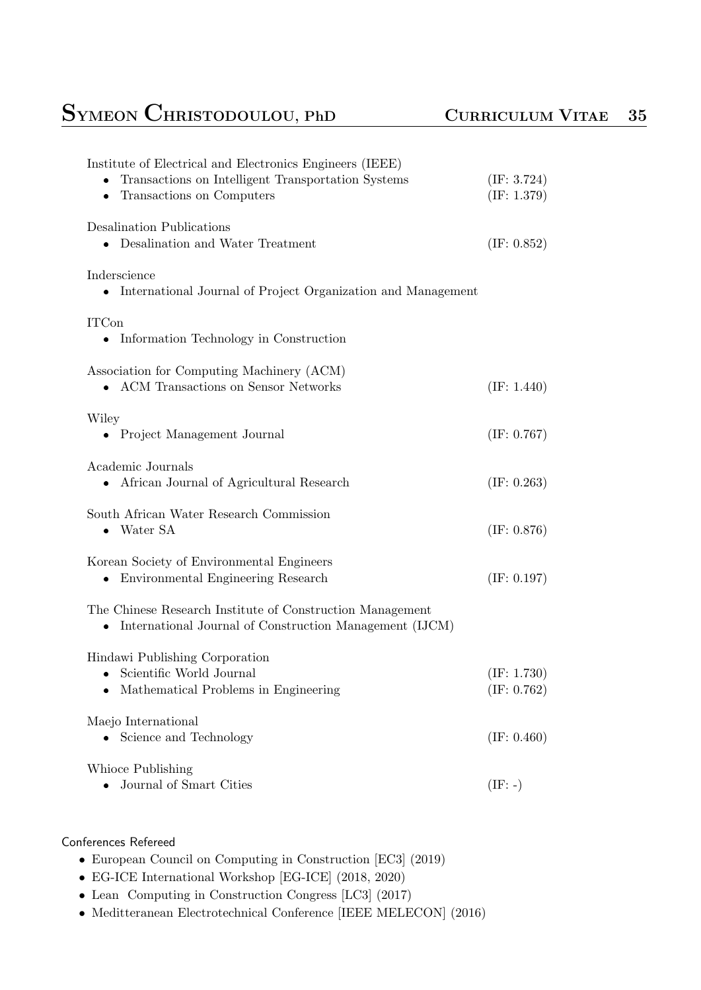### **SYMEON CHRISTODOULOU, PhD <sup>C</sup>URRICULUM <sup>V</sup>ITAE <sup>35</sup>**

| Institute of Electrical and Electronics Engineers (IEEE)<br>Transactions on Intelligent Transportation Systems<br>Transactions on Computers | (E: 3.724)<br>(E: 1.379) |
|---------------------------------------------------------------------------------------------------------------------------------------------|--------------------------|
| Desalination Publications<br>Desalination and Water Treatment                                                                               | (E: 0.852)               |
| Inderscience<br>• International Journal of Project Organization and Management                                                              |                          |
| <b>ITCon</b><br>• Information Technology in Construction                                                                                    |                          |
| Association for Computing Machinery (ACM)<br>ACM Transactions on Sensor Networks                                                            | (E: 1.440)               |
| Wiley<br>• Project Management Journal                                                                                                       | (IF: 0.767)              |
| Academic Journals<br>- African Journal of Agricultural Research                                                                             | (IF: 0.263)              |
| South African Water Research Commission<br>$\bullet$ Water SA                                                                               | (IF: 0.876)              |
| Korean Society of Environmental Engineers<br>Environmental Engineering Research<br>$\bullet$                                                | (IF: 0.197)              |
| The Chinese Research Institute of Construction Management<br>International Journal of Construction Management (IJCM)<br>۰                   |                          |
| Hindawi Publishing Corporation<br>Scientific World Journal<br>Mathematical Problems in Engineering                                          | (E: 1.730)<br>(E: 0.762) |
| Maejo International<br>Science and Technology                                                                                               | (IF: 0.460)              |
| Whioce Publishing<br>Journal of Smart Cities                                                                                                | $(IF: -)$                |

### Conferences Refereed

- *•* European Council on Computing in Construction [EC3] (2019)
- *•* EG-ICE International Workshop [EG-ICE] (2018, 2020)
- *•* Lean Computing in Construction Congress [LC3] (2017)
- *•* Meditteranean Electrotechnical Conference [IEEE MELECON] (2016)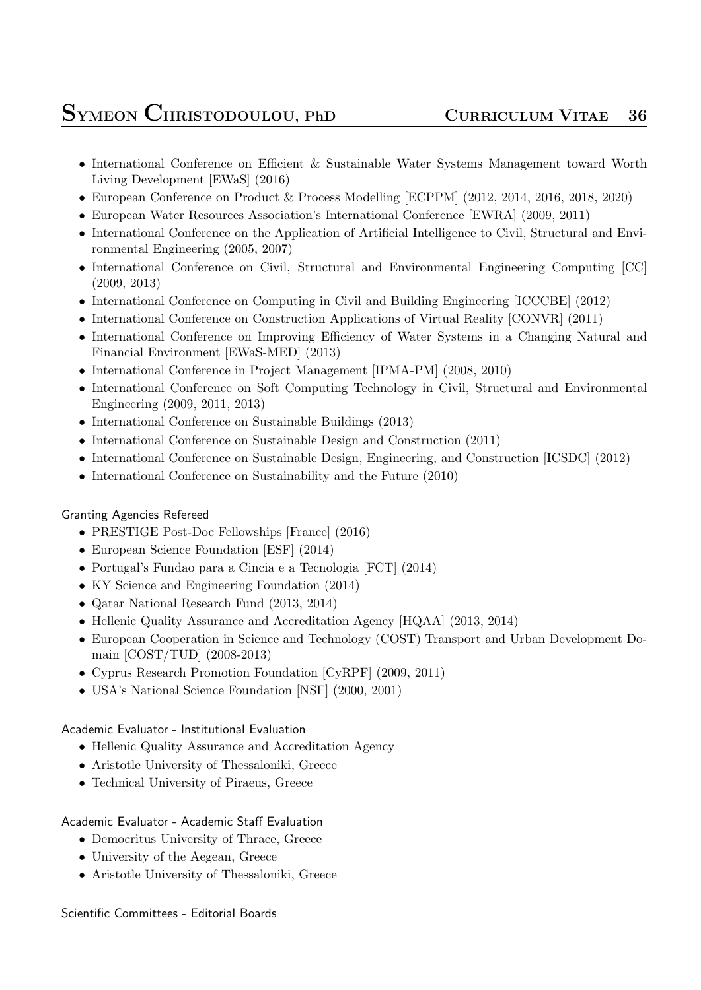- International Conference on Efficient & Sustainable Water Systems Management toward Worth Living Development [EWaS] (2016)
- *•* European Conference on Product & Process Modelling [ECPPM] (2012, 2014, 2016, 2018, 2020)
- *•* European Water Resources Association's International Conference [EWRA] (2009, 2011)
- International Conference on the Application of Artificial Intelligence to Civil, Structural and Environmental Engineering (2005, 2007)
- International Conference on Civil, Structural and Environmental Engineering Computing [CC] (2009, 2013)
- International Conference on Computing in Civil and Building Engineering [ICCCBE] (2012)
- International Conference on Construction Applications of Virtual Reality [CONVR] (2011)
- International Conference on Improving Efficiency of Water Systems in a Changing Natural and Financial Environment [EWaS-MED] (2013)
- *•* International Conference in Project Management [IPMA-PM] (2008, 2010)
- International Conference on Soft Computing Technology in Civil, Structural and Environmental Engineering (2009, 2011, 2013)
- *•* International Conference on Sustainable Buildings (2013)
- *•* International Conference on Sustainable Design and Construction (2011)
- International Conference on Sustainable Design, Engineering, and Construction [ICSDC] (2012)
- International Conference on Sustainability and the Future (2010)

### Granting Agencies Refereed

- *•* PRESTIGE Post-Doc Fellowships [France] (2016)
- *•* European Science Foundation [ESF] (2014)
- *•* Portugal's Fundao para a Cincia e a Tecnologia [FCT] (2014)
- KY Science and Engineering Foundation (2014)
- *•* Qatar National Research Fund (2013, 2014)
- *•* Hellenic Quality Assurance and Accreditation Agency [HQAA] (2013, 2014)
- *•* European Cooperation in Science and Technology (COST) Transport and Urban Development Domain [COST/TUD] (2008-2013)
- *•* Cyprus Research Promotion Foundation [CyRPF] (2009, 2011)
- *•* USA's National Science Foundation [NSF] (2000, 2001)

### Academic Evaluator - Institutional Evaluation

- Hellenic Quality Assurance and Accreditation Agency
- *•* Aristotle University of Thessaloniki, Greece
- *•* Technical University of Piraeus, Greece

### Academic Evaluator - Academic Staff Evaluation

- Democritus University of Thrace, Greece
- *•* University of the Aegean, Greece
- *•* Aristotle University of Thessaloniki, Greece

### Scientific Committees - Editorial Boards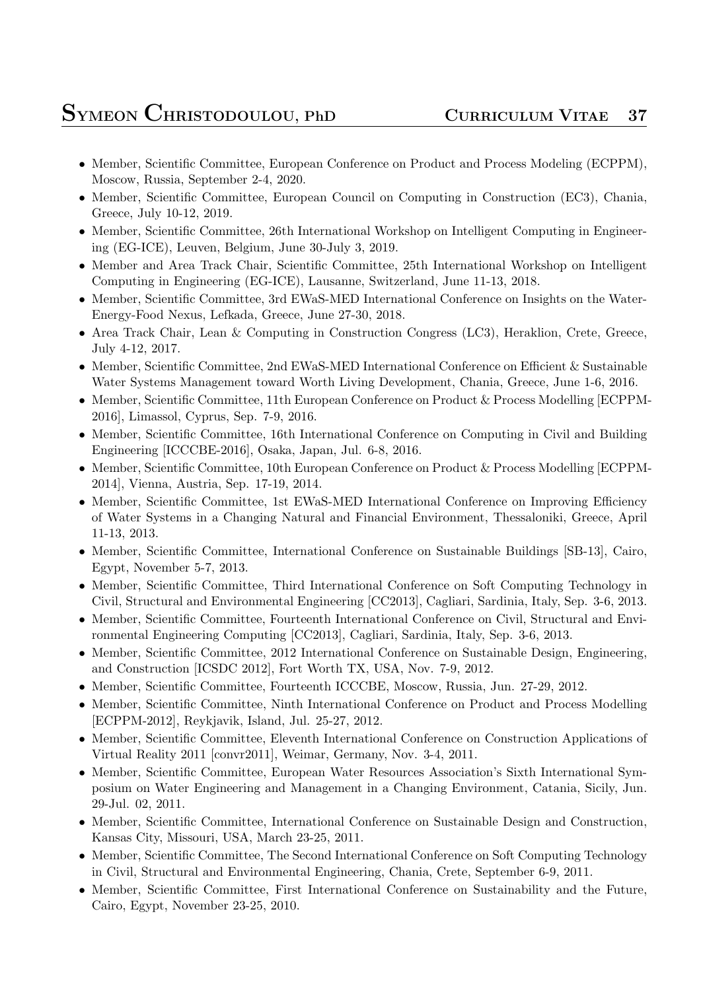- Member, Scientific Committee, European Conference on Product and Process Modeling (ECPPM), Moscow, Russia, September 2-4, 2020.
- Member, Scientific Committee, European Council on Computing in Construction (EC3), Chania, Greece, July 10-12, 2019.
- Member, Scientific Committee, 26th International Workshop on Intelligent Computing in Engineering (EG-ICE), Leuven, Belgium, June 30-July 3, 2019.
- Member and Area Track Chair, Scientific Committee, 25th International Workshop on Intelligent Computing in Engineering (EG-ICE), Lausanne, Switzerland, June 11-13, 2018.
- Member, Scientific Committee, 3rd EWaS-MED International Conference on Insights on the Water-Energy-Food Nexus, Lefkada, Greece, June 27-30, 2018.
- *•* Area Track Chair, Lean & Computing in Construction Congress (LC3), Heraklion, Crete, Greece, July 4-12, 2017.
- Member, Scientific Committee, 2nd EWaS-MED International Conference on Efficient & Sustainable Water Systems Management toward Worth Living Development, Chania, Greece, June 1-6, 2016.
- *•* Member, Scientific Committee, 11th European Conference on Product & Process Modelling [ECPPM-2016], Limassol, Cyprus, Sep. 7-9, 2016.
- Member, Scientific Committee, 16th International Conference on Computing in Civil and Building Engineering [ICCCBE-2016], Osaka, Japan, Jul. 6-8, 2016.
- Member, Scientific Committee, 10th European Conference on Product & Process Modelling [ECPPM-2014], Vienna, Austria, Sep. 17-19, 2014.
- Member, Scientific Committee, 1st EWaS-MED International Conference on Improving Efficiency of Water Systems in a Changing Natural and Financial Environment, Thessaloniki, Greece, April 11-13, 2013.
- Member, Scientific Committee, International Conference on Sustainable Buildings [SB-13], Cairo, Egypt, November 5-7, 2013.
- Member, Scientific Committee, Third International Conference on Soft Computing Technology in Civil, Structural and Environmental Engineering [CC2013], Cagliari, Sardinia, Italy, Sep. 3-6, 2013.
- Member, Scientific Committee, Fourteenth International Conference on Civil, Structural and Environmental Engineering Computing [CC2013], Cagliari, Sardinia, Italy, Sep. 3-6, 2013.
- Member, Scientific Committee, 2012 International Conference on Sustainable Design, Engineering, and Construction [ICSDC 2012], Fort Worth TX, USA, Nov. 7-9, 2012.
- Member, Scientific Committee, Fourteenth ICCCBE, Moscow, Russia, Jun. 27-29, 2012.
- Member, Scientific Committee, Ninth International Conference on Product and Process Modelling [ECPPM-2012], Reykjavik, Island, Jul. 25-27, 2012.
- Member, Scientific Committee, Eleventh International Conference on Construction Applications of Virtual Reality 2011 [convr2011], Weimar, Germany, Nov. 3-4, 2011.
- *•* Member, Scientific Committee, European Water Resources Association's Sixth International Symposium on Water Engineering and Management in a Changing Environment, Catania, Sicily, Jun. 29-Jul. 02, 2011.
- Member, Scientific Committee, International Conference on Sustainable Design and Construction, Kansas City, Missouri, USA, March 23-25, 2011.
- Member, Scientific Committee, The Second International Conference on Soft Computing Technology in Civil, Structural and Environmental Engineering, Chania, Crete, September 6-9, 2011.
- Member, Scientific Committee, First International Conference on Sustainability and the Future, Cairo, Egypt, November 23-25, 2010.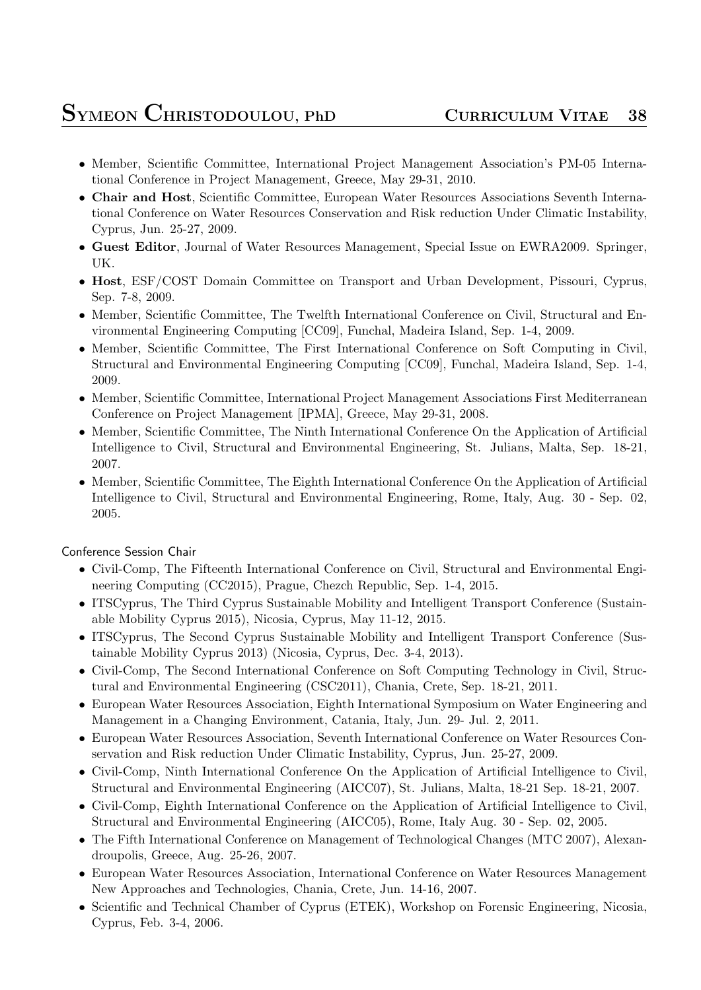- Member, Scientific Committee, International Project Management Association's PM-05 International Conference in Project Management, Greece, May 29-31, 2010.
- *•* **Chair and Host**, Scientific Committee, European Water Resources Associations Seventh International Conference on Water Resources Conservation and Risk reduction Under Climatic Instability, Cyprus, Jun. 25-27, 2009.
- *•* **Guest Editor**, Journal of Water Resources Management, Special Issue on EWRA2009. Springer, UK.
- *•* **Host**, ESF/COST Domain Committee on Transport and Urban Development, Pissouri, Cyprus, Sep. 7-8, 2009.
- Member, Scientific Committee, The Twelfth International Conference on Civil, Structural and Environmental Engineering Computing [CC09], Funchal, Madeira Island, Sep. 1-4, 2009.
- *•* Member, Scientific Committee, The First International Conference on Soft Computing in Civil, Structural and Environmental Engineering Computing [CC09], Funchal, Madeira Island, Sep. 1-4, 2009.
- Member, Scientific Committee, International Project Management Associations First Mediterranean Conference on Project Management [IPMA], Greece, May 29-31, 2008.
- Member, Scientific Committee, The Ninth International Conference On the Application of Artificial Intelligence to Civil, Structural and Environmental Engineering, St. Julians, Malta, Sep. 18-21, 2007.
- Member, Scientific Committee, The Eighth International Conference On the Application of Artificial Intelligence to Civil, Structural and Environmental Engineering, Rome, Italy, Aug. 30 - Sep. 02, 2005.

Conference Session Chair

- Civil-Comp, The Fifteenth International Conference on Civil, Structural and Environmental Engineering Computing (CC2015), Prague, Chezch Republic, Sep. 1-4, 2015.
- ITSCyprus, The Third Cyprus Sustainable Mobility and Intelligent Transport Conference (Sustainable Mobility Cyprus 2015), Nicosia, Cyprus, May 11-12, 2015.
- ITSCyprus, The Second Cyprus Sustainable Mobility and Intelligent Transport Conference (Sustainable Mobility Cyprus 2013) (Nicosia, Cyprus, Dec. 3-4, 2013).
- Civil-Comp, The Second International Conference on Soft Computing Technology in Civil, Structural and Environmental Engineering (CSC2011), Chania, Crete, Sep. 18-21, 2011.
- European Water Resources Association, Eighth International Symposium on Water Engineering and Management in a Changing Environment, Catania, Italy, Jun. 29- Jul. 2, 2011.
- *•* European Water Resources Association, Seventh International Conference on Water Resources Conservation and Risk reduction Under Climatic Instability, Cyprus, Jun. 25-27, 2009.
- *•* Civil-Comp, Ninth International Conference On the Application of Artificial Intelligence to Civil, Structural and Environmental Engineering (AICC07), St. Julians, Malta, 18-21 Sep. 18-21, 2007.
- Civil-Comp, Eighth International Conference on the Application of Artificial Intelligence to Civil, Structural and Environmental Engineering (AICC05), Rome, Italy Aug. 30 - Sep. 02, 2005.
- The Fifth International Conference on Management of Technological Changes (MTC 2007), Alexandroupolis, Greece, Aug. 25-26, 2007.
- *•* European Water Resources Association, International Conference on Water Resources Management New Approaches and Technologies, Chania, Crete, Jun. 14-16, 2007.
- Scientific and Technical Chamber of Cyprus (ETEK), Workshop on Forensic Engineering, Nicosia, Cyprus, Feb. 3-4, 2006.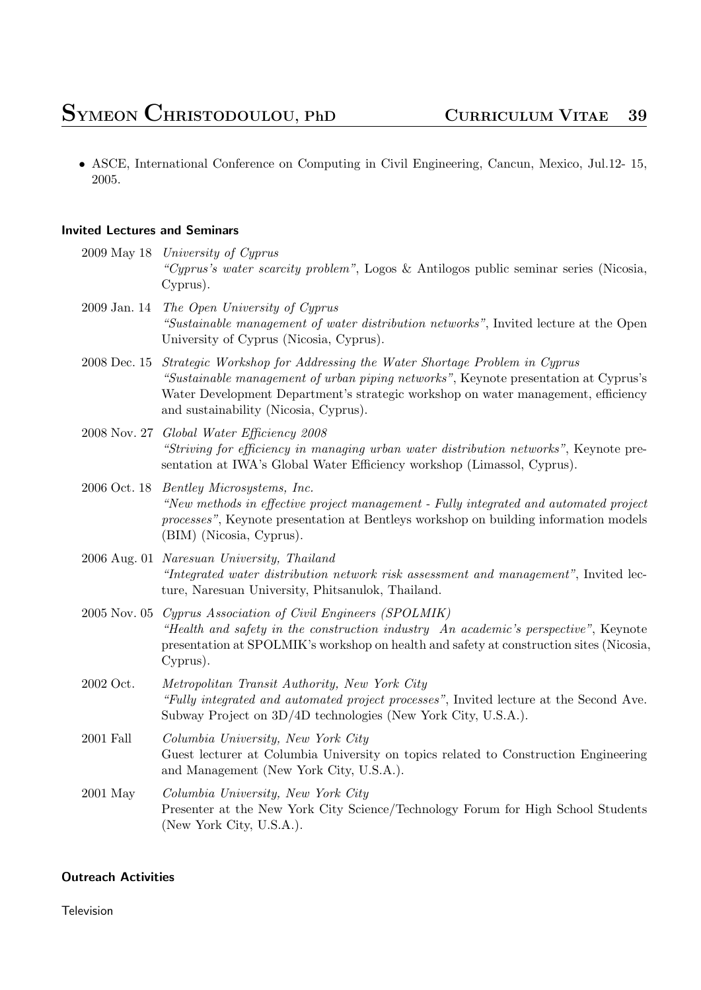• ASCE, International Conference on Computing in Civil Engineering, Cancun, Mexico, Jul.12- 15, 2005.

### **Invited Lectures and Seminars**

- 2009 May 18 *University of Cyprus "Cyprus's water scarcity problem"*, Logos & Antilogos public seminar series (Nicosia, Cyprus).
- 2009 Jan. 14 *The Open University of Cyprus "Sustainable management of water distribution networks"*, Invited lecture at the Open University of Cyprus (Nicosia, Cyprus).
- 2008 Dec. 15 *Strategic Workshop for Addressing the Water Shortage Problem in Cyprus "Sustainable management of urban piping networks"*, Keynote presentation at Cyprus's Water Development Department's strategic workshop on water management, efficiency and sustainability (Nicosia, Cyprus).
- 2008 Nov. 27 *Global Water Efficiency 2008 "Striving for efficiency in managing urban water distribution networks"*, Keynote presentation at IWA's Global Water Efficiency workshop (Limassol, Cyprus).
- 2006 Oct. 18 *Bentley Microsystems, Inc. "New methods in effective project management - Fully integrated and automated project processes"*, Keynote presentation at Bentleys workshop on building information models (BIM) (Nicosia, Cyprus).
- 2006 Aug. 01 *Naresuan University, Thailand "Integrated water distribution network risk assessment and management"*, Invited lecture, Naresuan University, Phitsanulok, Thailand.
- 2005 Nov. 05 *Cyprus Association of Civil Engineers (SPOLMIK) "Health and safety in the construction industry An academic's perspective"*, Keynote presentation at SPOLMIK's workshop on health and safety at construction sites (Nicosia, Cyprus).
- 2002 Oct. *Metropolitan Transit Authority, New York City "Fully integrated and automated project processes"*, Invited lecture at the Second Ave. Subway Project on 3D/4D technologies (New York City, U.S.A.).
- 2001 Fall *Columbia University, New York City* Guest lecturer at Columbia University on topics related to Construction Engineering and Management (New York City, U.S.A.).
- 2001 May *Columbia University, New York City* Presenter at the New York City Science/Technology Forum for High School Students (New York City, U.S.A.).

### **Outreach Activities**

Television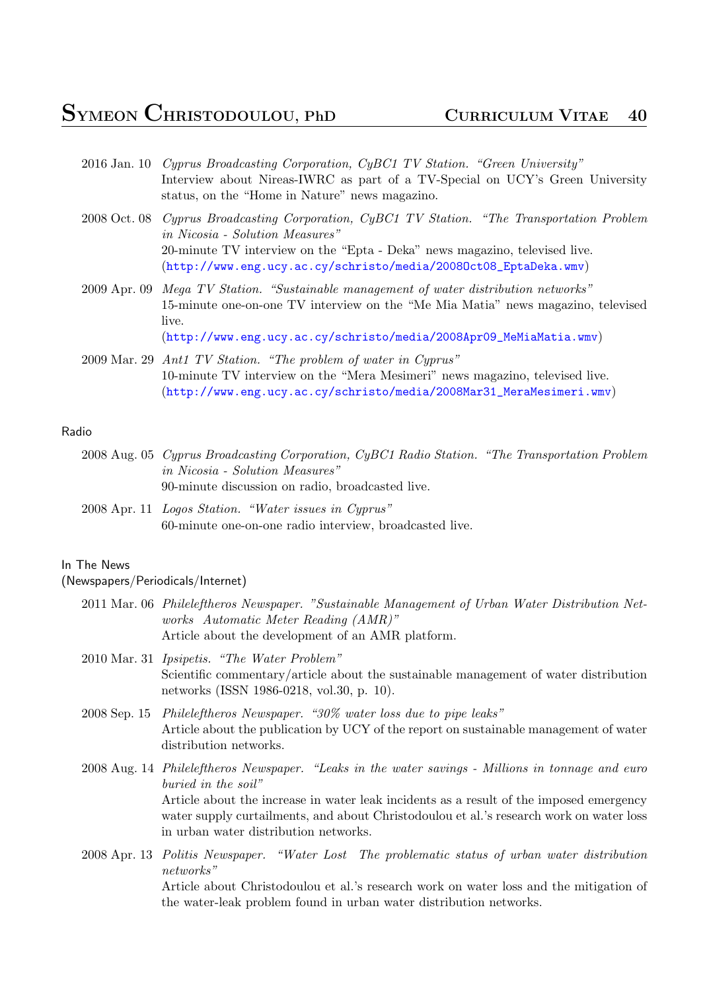- 2016 Jan. 10 *Cyprus Broadcasting Corporation, CyBC1 TV Station. "Green University"* Interview about Nireas-IWRC as part of a TV-Special on UCY's Green University status, on the "Home in Nature" news magazino.
- 2008 Oct. 08 *Cyprus Broadcasting Corporation, CyBC1 TV Station. "The Transportation Problem in Nicosia - Solution Measures"* 20-minute TV interview on the "Epta - Deka" news magazino, televised live. (http://www.eng.ucy.ac.cy/schristo/media/2008Oct08\_EptaDeka.wmv)
- 2009 Apr. 09 *Mega TV Station. "Sustainable management of water distribution networks"* 15-minute one-on-one TV interview on the "Me Mia Matia" news magazino, televised live.

([http://www.eng.ucy.ac.cy/schristo/media/2008Apr09\\_MeMiaMatia.w](http://www.eng.ucy.ac.cy/schristo/media/2008Oct08_EptaDeka.wmv)mv)

2009 Mar. 29 *Ant1 TV Station. "The problem of water in Cyprus"* 10-minute TV interview on the "Mera Mesimeri" news magazino, televised live. ([http://www.eng.ucy.ac.cy/schristo/media/2008Mar31\\_MeraMesimeri.wm](http://www.eng.ucy.ac.cy/schristo/media/2008Apr09_MeMiaMatia.wmv)v)

#### Radio

- 2008 Aug. 05 *[Cyprus Broadcasting Corporation, CyBC1 Radio Station. "The Transportation Pr](http://www.eng.ucy.ac.cy/schristo/media/2008Mar31_MeraMesimeri.wmv)oblem in Nicosia - Solution Measures"* 90-minute discussion on radio, broadcasted live.
- 2008 Apr. 11 *Logos Station. "Water issues in Cyprus"* 60-minute one-on-one radio interview, broadcasted live.

#### In The News

#### (Newspapers/Periodicals/Internet)

- 2011 Mar. 06 *Phileleftheros Newspaper. "Sustainable Management of Urban Water Distribution Networks Automatic Meter Reading (AMR)"* Article about the development of an AMR platform.
- 2010 Mar. 31 *Ipsipetis. "The Water Problem"* Scientific commentary/article about the sustainable management of water distribution networks (ISSN 1986-0218, vol.30, p. 10).
- 2008 Sep. 15 *Phileleftheros Newspaper. "30% water loss due to pipe leaks"* Article about the publication by UCY of the report on sustainable management of water distribution networks.
- 2008 Aug. 14 *Phileleftheros Newspaper. "Leaks in the water savings Millions in tonnage and euro buried in the soil"* Article about the increase in water leak incidents as a result of the imposed emergency water supply curtailments, and about Christodoulou et al.'s research work on water loss in urban water distribution networks.
- 2008 Apr. 13 *Politis Newspaper. "Water Lost The problematic status of urban water distribution networks"* Article about Christodoulou et al.'s research work on water loss and the mitigation of the water-leak problem found in urban water distribution networks.